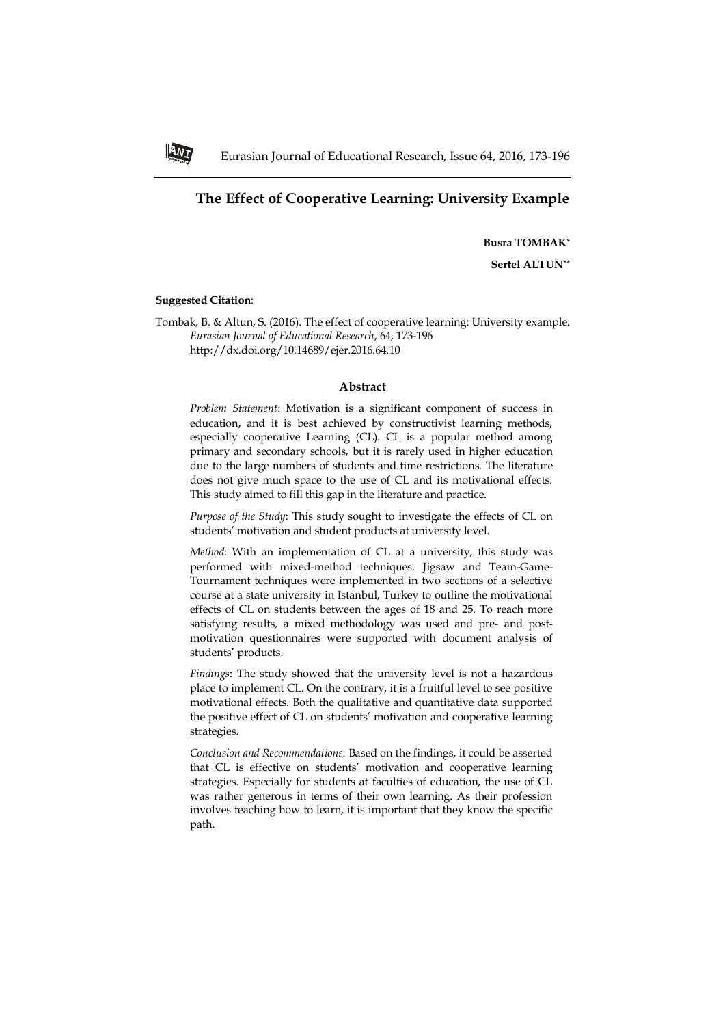# **The Effect of Cooperative Learning: University Example**

**Busra TOMBAK\***

**Sertel ALTUN\*\***

### **Suggested Citation**:

**ANT** 

Tombak, B. & Altun, S. (2016). The effect of cooperative learning: University example. *Eurasian Journal of Educational Research*, 64, 173-196 http://dx.doi.org/10.14689/ejer.2016.64.10

### **Abstract**

*Problem Statement*: Motivation is a significant component of success in education, and it is best achieved by constructivist learning methods, especially cooperative Learning (CL). CL is a popular method among primary and secondary schools, but it is rarely used in higher education due to the large numbers of students and time restrictions. The literature does not give much space to the use of CL and its motivational effects. This study aimed to fill this gap in the literature and practice.

*Purpose of the Study*: This study sought to investigate the effects of CL on students' motivation and student products at university level.

*Method*: With an implementation of CL at a university, this study was performed with mixed-method techniques. Jigsaw and Team-Game-Tournament techniques were implemented in two sections of a selective course at a state university in Istanbul, Turkey to outline the motivational effects of CL on students between the ages of 18 and 25. To reach more satisfying results, a mixed methodology was used and pre- and postmotivation questionnaires were supported with document analysis of students' products.

*Findings*: The study showed that the university level is not a hazardous place to implement CL. On the contrary, it is a fruitful level to see positive motivational effects. Both the qualitative and quantitative data supported the positive effect of CL on students' motivation and cooperative learning strategies.

*Conclusion and Recommendations*: Based on the findings, it could be asserted that CL is effective on students' motivation and cooperative learning strategies. Especially for students at faculties of education, the use of CL was rather generous in terms of their own learning. As their profession involves teaching how to learn, it is important that they know the specific path.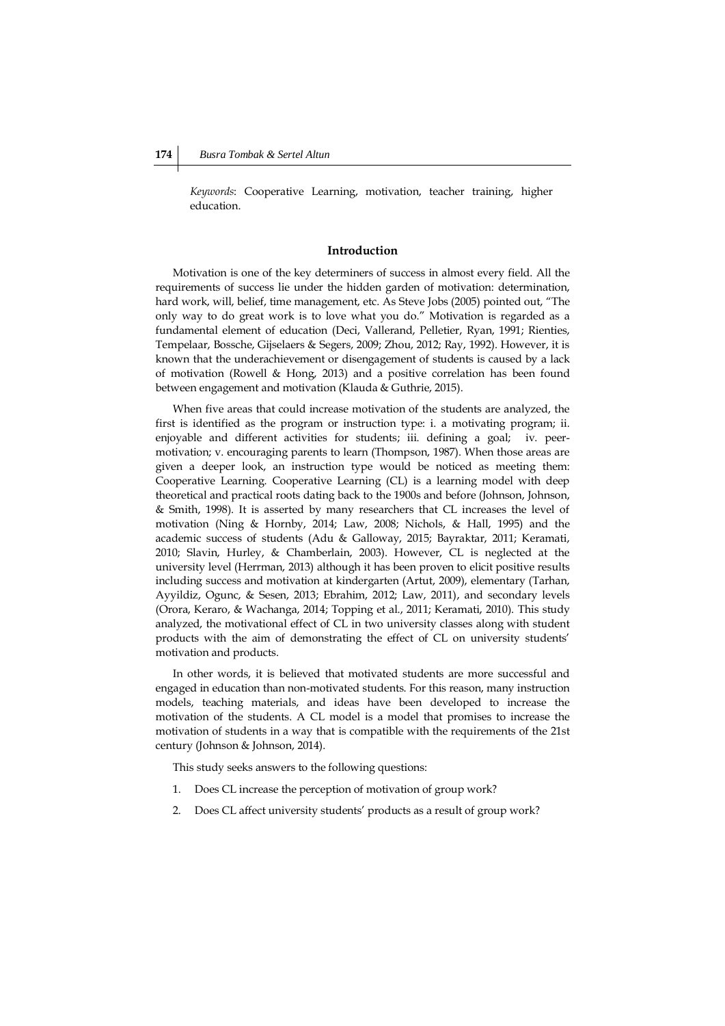*Keywords*: Cooperative Learning, motivation, teacher training, higher education.

## **Introduction**

Motivation is one of the key determiners of success in almost every field. All the requirements of success lie under the hidden garden of motivation: determination, hard work, will, belief, time management, etc. As Steve Jobs (2005) pointed out, "The only way to do great work is to love what you do." Motivation is regarded as a fundamental element of education (Deci, Vallerand, Pelletier, Ryan, 1991; Rienties, Tempelaar, Bossche, Gijselaers & Segers, 2009; Zhou, 2012; Ray, 1992). However, it is known that the underachievement or disengagement of students is caused by a lack of motivation (Rowell & Hong, 2013) and a positive correlation has been found between engagement and motivation (Klauda & Guthrie, 2015).

When five areas that could increase motivation of the students are analyzed, the first is identified as the program or instruction type: i. a motivating program; ii. enjoyable and different activities for students; iii. defining a goal; iv. peermotivation; v. encouraging parents to learn (Thompson, 1987). When those areas are given a deeper look, an instruction type would be noticed as meeting them: Cooperative Learning. Cooperative Learning (CL) is a learning model with deep theoretical and practical roots dating back to the 1900s and before (Johnson, Johnson, & Smith, 1998). It is asserted by many researchers that CL increases the level of motivation (Ning & Hornby, 2014; Law, 2008; Nichols, & Hall, 1995) and the academic success of students (Adu & Galloway, 2015; Bayraktar, 2011; Keramati, 2010; Slavin, Hurley, & Chamberlain, 2003). However, CL is neglected at the university level (Herrman, 2013) although it has been proven to elicit positive results including success and motivation at kindergarten (Artut, 2009), elementary (Tarhan, Ayyildiz, Ogunc, & Sesen, 2013; Ebrahim, 2012; Law, 2011), and secondary levels (Orora, Keraro, & Wachanga, 2014; Topping et al., 2011; Keramati, 2010). This study analyzed, the motivational effect of CL in two university classes along with student products with the aim of demonstrating the effect of CL on university students' motivation and products.

In other words, it is believed that motivated students are more successful and engaged in education than non-motivated students. For this reason, many instruction models, teaching materials, and ideas have been developed to increase the motivation of the students. A CL model is a model that promises to increase the motivation of students in a way that is compatible with the requirements of the 21st century (Johnson & Johnson, 2014).

This study seeks answers to the following questions:

- 1. Does CL increase the perception of motivation of group work?
- 2. Does CL affect university students' products as a result of group work?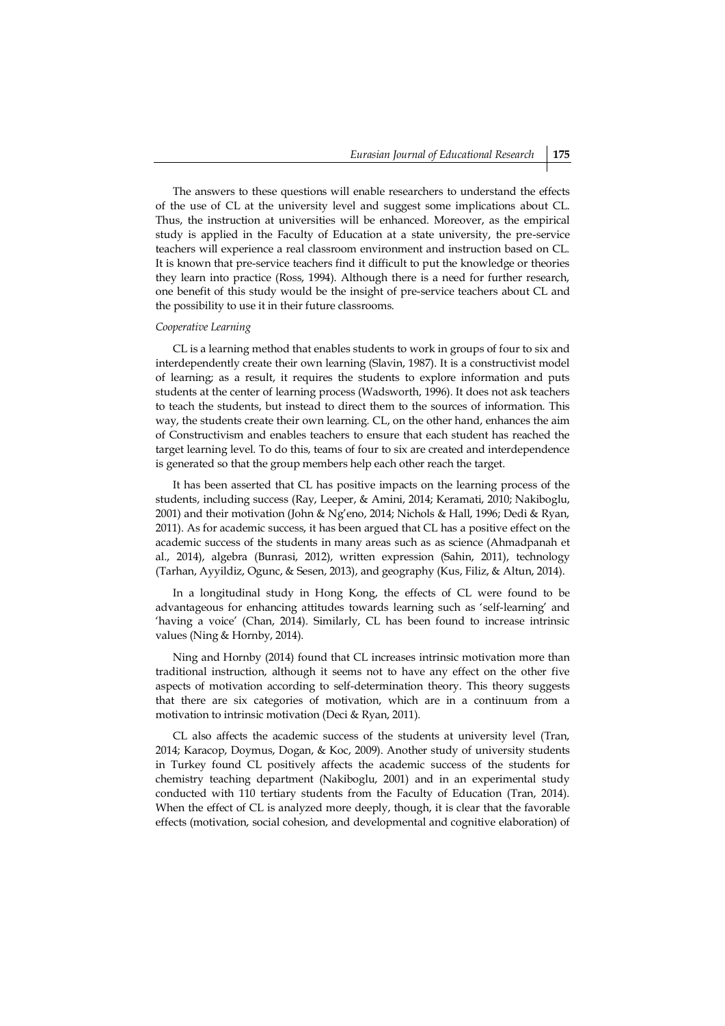The answers to these questions will enable researchers to understand the effects of the use of CL at the university level and suggest some implications about CL. Thus, the instruction at universities will be enhanced. Moreover, as the empirical study is applied in the Faculty of Education at a state university, the pre-service teachers will experience a real classroom environment and instruction based on CL. It is known that pre-service teachers find it difficult to put the knowledge or theories they learn into practice (Ross, 1994). Although there is a need for further research, one benefit of this study would be the insight of pre-service teachers about CL and the possibility to use it in their future classrooms.

#### *Cooperative Learning*

CL is a learning method that enables students to work in groups of four to six and interdependently create their own learning (Slavin, 1987). It is a constructivist model of learning; as a result, it requires the students to explore information and puts students at the center of learning process (Wadsworth, 1996). It does not ask teachers to teach the students, but instead to direct them to the sources of information. This way, the students create their own learning. CL, on the other hand, enhances the aim of Constructivism and enables teachers to ensure that each student has reached the target learning level. To do this, teams of four to six are created and interdependence is generated so that the group members help each other reach the target.

It has been asserted that CL has positive impacts on the learning process of the students, including success (Ray, Leeper, & Amini, 2014; Keramati, 2010; Nakiboglu, 2001) and their motivation (John & Ng'eno, 2014; Nichols & Hall, 1996; Dedi & Ryan, 2011). As for academic success, it has been argued that CL has a positive effect on the academic success of the students in many areas such as as science (Ahmadpanah et al., 2014), algebra (Bunrasi, 2012), written expression (Sahin, 2011), technology (Tarhan, Ayyildiz, Ogunc, & Sesen, 2013), and geography (Kus, Filiz, & Altun, 2014).

In a longitudinal study in Hong Kong, the effects of CL were found to be advantageous for enhancing attitudes towards learning such as 'self-learning' and 'having a voice' (Chan, 2014). Similarly, CL has been found to increase intrinsic values (Ning & Hornby, 2014).

Ning and Hornby (2014) found that CL increases intrinsic motivation more than traditional instruction, although it seems not to have any effect on the other five aspects of motivation according to self-determination theory. This theory suggests that there are six categories of motivation, which are in a continuum from a motivation to intrinsic motivation (Deci & Ryan, 2011).

CL also affects the academic success of the students at university level (Tran, 2014; Karacop, Doymus, Dogan, & Koc, 2009). Another study of university students in Turkey found CL positively affects the academic success of the students for chemistry teaching department (Nakiboglu, 2001) and in an experimental study conducted with 110 tertiary students from the Faculty of Education (Tran, 2014). When the effect of CL is analyzed more deeply, though, it is clear that the favorable effects (motivation, social cohesion, and developmental and cognitive elaboration) of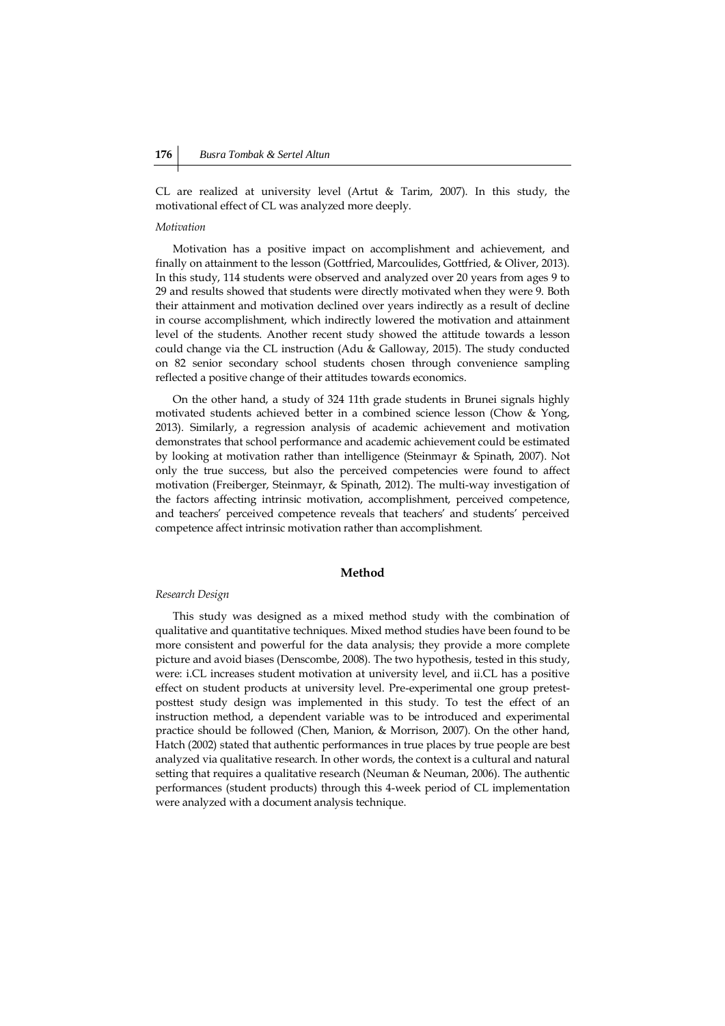CL are realized at university level (Artut & Tarim, 2007). In this study, the motivational effect of CL was analyzed more deeply.

#### *Motivation*

Motivation has a positive impact on accomplishment and achievement, and finally on attainment to the lesson (Gottfried, Marcoulides, Gottfried, & Oliver, 2013). In this study, 114 students were observed and analyzed over 20 years from ages 9 to 29 and results showed that students were directly motivated when they were 9. Both their attainment and motivation declined over years indirectly as a result of decline in course accomplishment, which indirectly lowered the motivation and attainment level of the students. Another recent study showed the attitude towards a lesson could change via the CL instruction (Adu & Galloway, 2015). The study conducted on 82 senior secondary school students chosen through convenience sampling reflected a positive change of their attitudes towards economics.

On the other hand, a study of 324 11th grade students in Brunei signals highly motivated students achieved better in a combined science lesson (Chow & Yong, 2013). Similarly, a regression analysis of academic achievement and motivation demonstrates that school performance and academic achievement could be estimated by looking at motivation rather than intelligence (Steinmayr & Spinath, 2007). Not only the true success, but also the perceived competencies were found to affect motivation (Freiberger, Steinmayr, & Spinath, 2012). The multi-way investigation of the factors affecting intrinsic motivation, accomplishment, perceived competence, and teachers' perceived competence reveals that teachers' and students' perceived competence affect intrinsic motivation rather than accomplishment.

## **Method**

#### *Research Design*

This study was designed as a mixed method study with the combination of qualitative and quantitative techniques. Mixed method studies have been found to be more consistent and powerful for the data analysis; they provide a more complete picture and avoid biases (Denscombe, 2008). The two hypothesis, tested in this study, were: i.CL increases student motivation at university level, and ii.CL has a positive effect on student products at university level. Pre-experimental one group pretestposttest study design was implemented in this study. To test the effect of an instruction method, a dependent variable was to be introduced and experimental practice should be followed (Chen, Manion, & Morrison, 2007). On the other hand, Hatch (2002) stated that authentic performances in true places by true people are best analyzed via qualitative research. In other words, the context is a cultural and natural setting that requires a qualitative research (Neuman & Neuman, 2006). The authentic performances (student products) through this 4-week period of CL implementation were analyzed with a document analysis technique.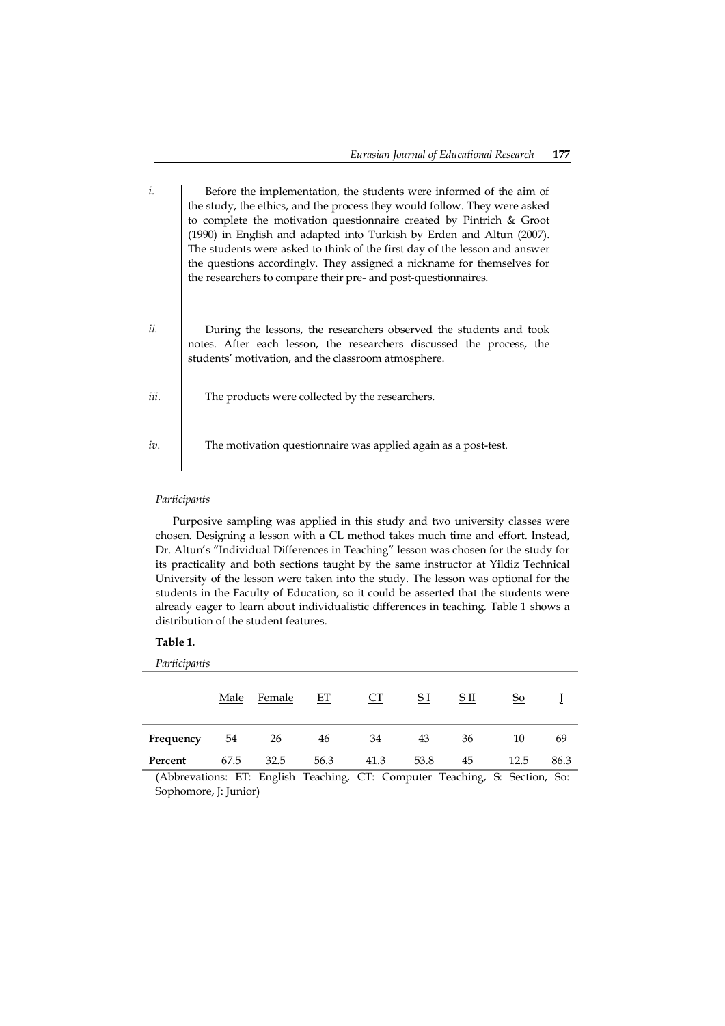| i.   | Before the implementation, the students were informed of the aim of<br>the study, the ethics, and the process they would follow. They were asked<br>to complete the motivation questionnaire created by Pintrich & Groot<br>(1990) in English and adapted into Turkish by Erden and Altun (2007).<br>The students were asked to think of the first day of the lesson and answer<br>the questions accordingly. They assigned a nickname for themselves for |
|------|-----------------------------------------------------------------------------------------------------------------------------------------------------------------------------------------------------------------------------------------------------------------------------------------------------------------------------------------------------------------------------------------------------------------------------------------------------------|
| ii.  | the researchers to compare their pre- and post-questionnaires.<br>During the lessons, the researchers observed the students and took<br>notes. After each lesson, the researchers discussed the process, the<br>students' motivation, and the classroom atmosphere.                                                                                                                                                                                       |
| iii. | The products were collected by the researchers.                                                                                                                                                                                                                                                                                                                                                                                                           |
| iv.  | The motivation questionnaire was applied again as a post-test.                                                                                                                                                                                                                                                                                                                                                                                            |

## *Participants*

Purposive sampling was applied in this study and two university classes were chosen. Designing a lesson with a CL method takes much time and effort. Instead, Dr. Altun's "Individual Differences in Teaching" lesson was chosen for the study for its practicality and both sections taught by the same instructor at Yildiz Technical University of the lesson were taken into the study. The lesson was optional for the students in the Faculty of Education, so it could be asserted that the students were already eager to learn about individualistic differences in teaching. Table 1 shows a distribution of the student features.

#### **Table 1.**

*Participants*

|           | Male | Female                                                                                                                | ET           | CT     | <u>S I</u>                                    | <u>SП</u>    | <u>So</u>            |        |
|-----------|------|-----------------------------------------------------------------------------------------------------------------------|--------------|--------|-----------------------------------------------|--------------|----------------------|--------|
| Frequency | 54   | 26                                                                                                                    | 46           | 34     | 43                                            | 36           | 10                   | 69     |
| Percent   | 67.5 | 32.5                                                                                                                  | 56.3         | 41.3   | 53.8                                          | 45           | 12.5                 | 86.3   |
| .<br>.    |      | $\mathbf{r}$ , $\mathbf{r}$ , $\mathbf{r}$ , $\mathbf{r}$ , $\mathbf{r}$ , $\mathbf{r}$ , $\mathbf{r}$ , $\mathbf{r}$ | $\mathbf{1}$ | $\sim$ | $\sim$<br>and the contract of the contract of | $\mathbf{1}$ | $\sim$ $\sim$ $\sim$ | $\sim$ |

(Abbrevations: ET: English Teaching, CT: Computer Teaching, S: Section, So: Sophomore, J: Junior)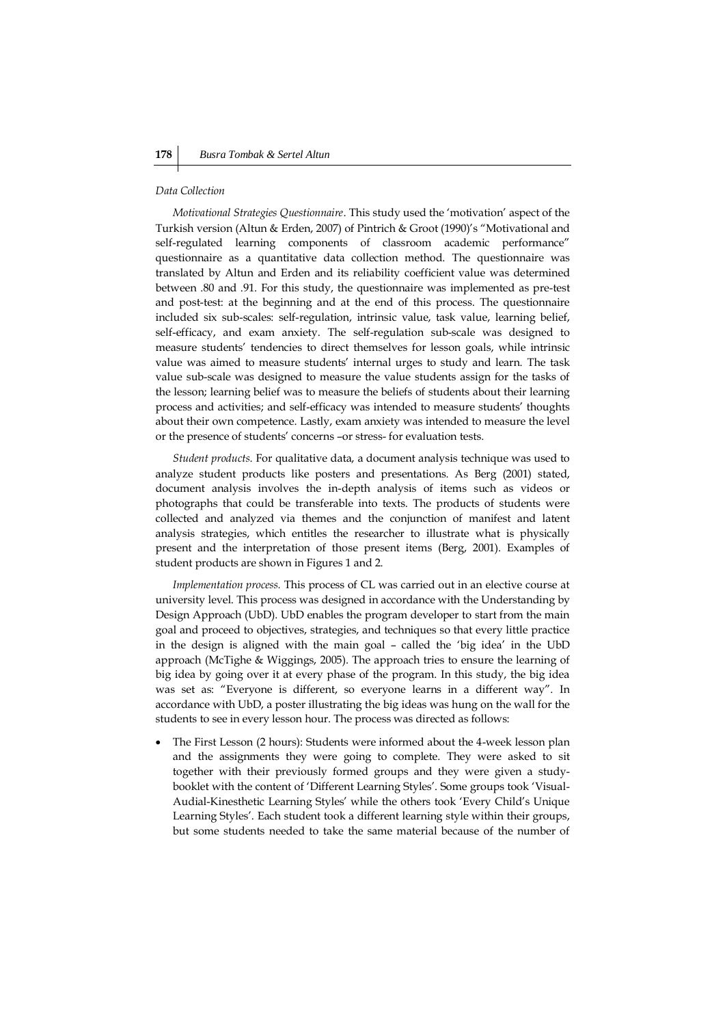#### *Data Collection*

*Motivational Strategies Questionnaire*. This study used the 'motivation' aspect of the Turkish version (Altun & Erden, 2007) of Pintrich & Groot (1990)'s "Motivational and self-regulated learning components of classroom academic performance" questionnaire as a quantitative data collection method. The questionnaire was translated by Altun and Erden and its reliability coefficient value was determined between .80 and .91. For this study, the questionnaire was implemented as pre-test and post-test: at the beginning and at the end of this process. The questionnaire included six sub-scales: self-regulation, intrinsic value, task value, learning belief, self-efficacy, and exam anxiety. The self-regulation sub-scale was designed to measure students' tendencies to direct themselves for lesson goals, while intrinsic value was aimed to measure students' internal urges to study and learn. The task value sub-scale was designed to measure the value students assign for the tasks of the lesson; learning belief was to measure the beliefs of students about their learning process and activities; and self-efficacy was intended to measure students' thoughts about their own competence. Lastly, exam anxiety was intended to measure the level or the presence of students' concerns –or stress- for evaluation tests.

*Student products*. For qualitative data, a document analysis technique was used to analyze student products like posters and presentations. As Berg (2001) stated, document analysis involves the in-depth analysis of items such as videos or photographs that could be transferable into texts. The products of students were collected and analyzed via themes and the conjunction of manifest and latent analysis strategies, which entitles the researcher to illustrate what is physically present and the interpretation of those present items (Berg, 2001). Examples of student products are shown in Figures 1 and 2.

*Implementation process.* This process of CL was carried out in an elective course at university level. This process was designed in accordance with the Understanding by Design Approach (UbD). UbD enables the program developer to start from the main goal and proceed to objectives, strategies, and techniques so that every little practice in the design is aligned with the main goal – called the 'big idea' in the UbD approach (McTighe & Wiggings, 2005). The approach tries to ensure the learning of big idea by going over it at every phase of the program. In this study, the big idea was set as: "Everyone is different, so everyone learns in a different way". In accordance with UbD, a poster illustrating the big ideas was hung on the wall for the students to see in every lesson hour. The process was directed as follows:

 The First Lesson (2 hours): Students were informed about the 4-week lesson plan and the assignments they were going to complete. They were asked to sit together with their previously formed groups and they were given a studybooklet with the content of 'Different Learning Styles'. Some groups took 'Visual-Audial-Kinesthetic Learning Styles' while the others took 'Every Child's Unique Learning Styles'. Each student took a different learning style within their groups, but some students needed to take the same material because of the number of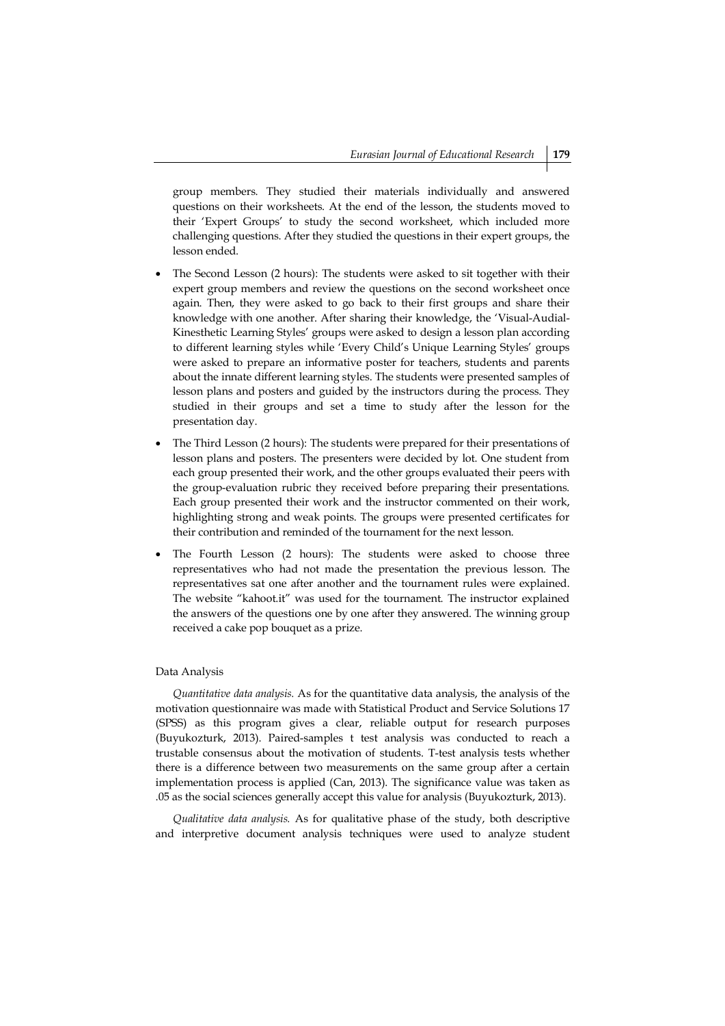group members. They studied their materials individually and answered questions on their worksheets. At the end of the lesson, the students moved to their 'Expert Groups' to study the second worksheet, which included more challenging questions. After they studied the questions in their expert groups, the lesson ended.

- The Second Lesson (2 hours): The students were asked to sit together with their expert group members and review the questions on the second worksheet once again. Then, they were asked to go back to their first groups and share their knowledge with one another. After sharing their knowledge, the 'Visual-Audial-Kinesthetic Learning Styles' groups were asked to design a lesson plan according to different learning styles while 'Every Child's Unique Learning Styles' groups were asked to prepare an informative poster for teachers, students and parents about the innate different learning styles. The students were presented samples of lesson plans and posters and guided by the instructors during the process. They studied in their groups and set a time to study after the lesson for the presentation day.
- The Third Lesson (2 hours): The students were prepared for their presentations of lesson plans and posters. The presenters were decided by lot. One student from each group presented their work, and the other groups evaluated their peers with the group-evaluation rubric they received before preparing their presentations. Each group presented their work and the instructor commented on their work, highlighting strong and weak points. The groups were presented certificates for their contribution and reminded of the tournament for the next lesson.
- The Fourth Lesson (2 hours): The students were asked to choose three representatives who had not made the presentation the previous lesson. The representatives sat one after another and the tournament rules were explained. The website "kahoot.it" was used for the tournament. The instructor explained the answers of the questions one by one after they answered. The winning group received a cake pop bouquet as a prize.

### Data Analysis

*Quantitative data analysis.* As for the quantitative data analysis, the analysis of the motivation questionnaire was made with Statistical Product and Service Solutions 17 (SPSS) as this program gives a clear, reliable output for research purposes (Buyukozturk, 2013). Paired-samples t test analysis was conducted to reach a trustable consensus about the motivation of students. T-test analysis tests whether there is a difference between two measurements on the same group after a certain implementation process is applied (Can, 2013). The significance value was taken as .05 as the social sciences generally accept this value for analysis (Buyukozturk, 2013).

*Qualitative data analysis.* As for qualitative phase of the study, both descriptive and interpretive document analysis techniques were used to analyze student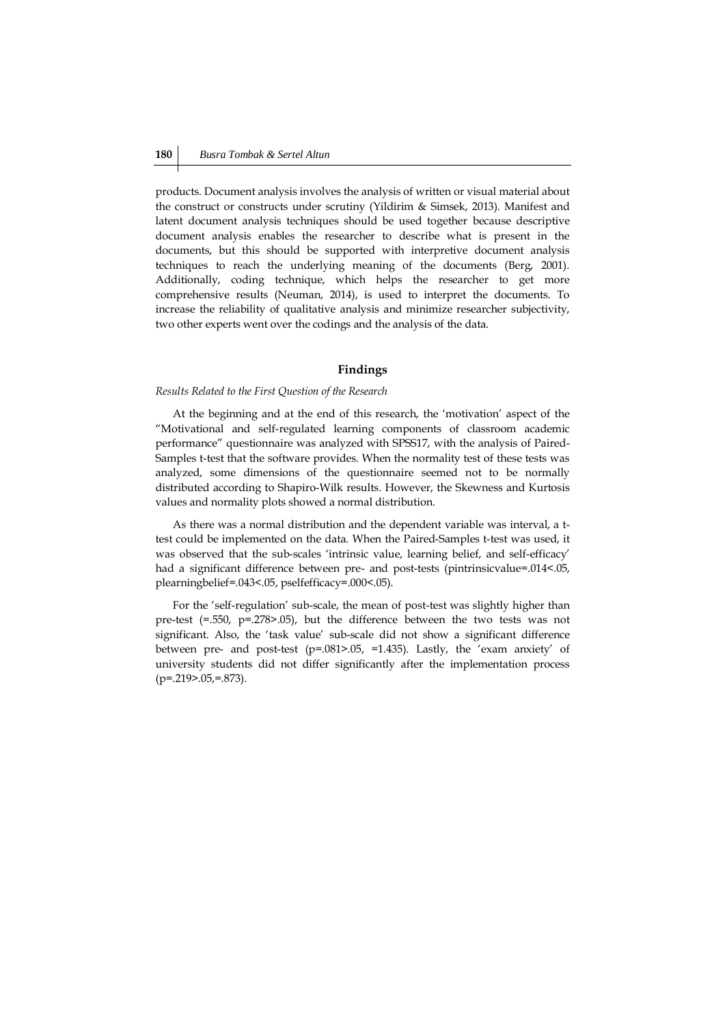products. Document analysis involves the analysis of written or visual material about the construct or constructs under scrutiny (Yildirim & Simsek, 2013). Manifest and latent document analysis techniques should be used together because descriptive document analysis enables the researcher to describe what is present in the documents, but this should be supported with interpretive document analysis techniques to reach the underlying meaning of the documents (Berg, 2001). Additionally, coding technique, which helps the researcher to get more comprehensive results (Neuman, 2014), is used to interpret the documents. To increase the reliability of qualitative analysis and minimize researcher subjectivity, two other experts went over the codings and the analysis of the data.

#### **Findings**

#### *Results Related to the First Question of the Research*

At the beginning and at the end of this research, the 'motivation' aspect of the "Motivational and self-regulated learning components of classroom academic performance" questionnaire was analyzed with SPSS17, with the analysis of Paired-Samples t-test that the software provides. When the normality test of these tests was analyzed, some dimensions of the questionnaire seemed not to be normally distributed according to Shapiro-Wilk results. However, the Skewness and Kurtosis values and normality plots showed a normal distribution.

As there was a normal distribution and the dependent variable was interval, a ttest could be implemented on the data. When the Paired-Samples t-test was used, it was observed that the sub-scales 'intrinsic value, learning belief, and self-efficacy' had a significant difference between pre- and post-tests (pintrinsicvalue=.014<.05, plearningbelief=.043<.05, pselfefficacy=.000<.05).

For the 'self-regulation' sub-scale, the mean of post-test was slightly higher than pre-test (=.550, p=.278>.05), but the difference between the two tests was not significant. Also, the 'task value' sub-scale did not show a significant difference between pre- and post-test (p=.081>.05, =1.435). Lastly, the 'exam anxiety' of university students did not differ significantly after the implementation process  $(p=.219-.05,=.873)$ .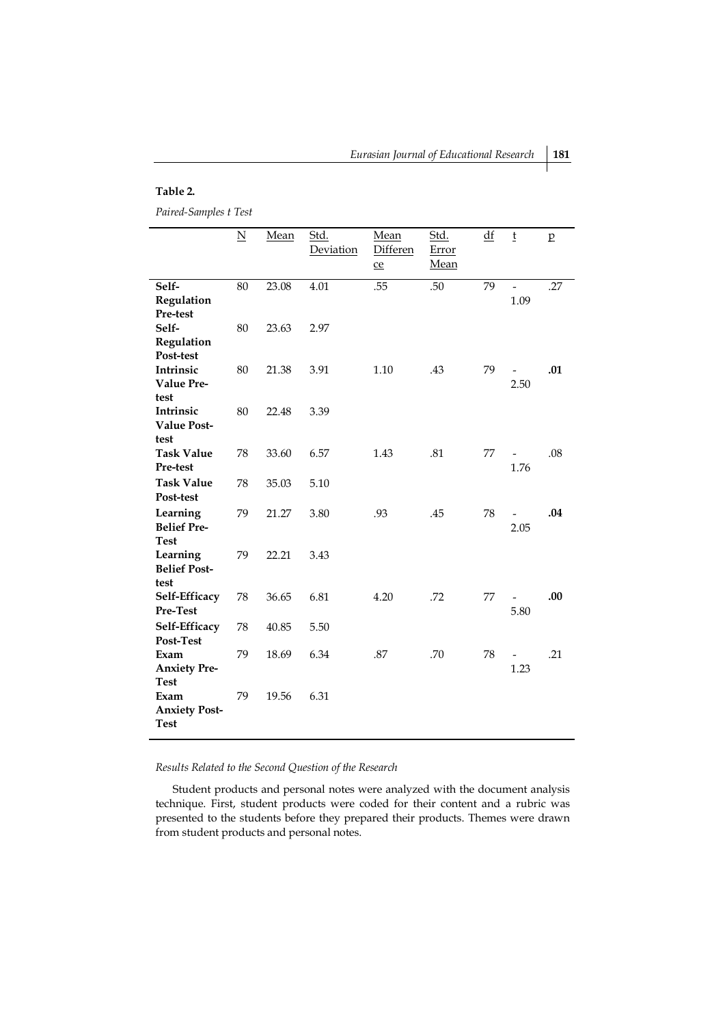*Eurasian Journal of Educational Research* **181**

### **Table 2.**

*Paired-Samples t Test*

|                                                            | $\underline{\mathbf{N}}$ | Mean           | Std.<br>Deviation | Mean<br>Differen<br>$ce$ | Std.<br>Error<br>Mean | $\underline{df}$ | $\mathsf t$                      | $\mathbf{p}$ |
|------------------------------------------------------------|--------------------------|----------------|-------------------|--------------------------|-----------------------|------------------|----------------------------------|--------------|
| Self-<br>Regulation<br>Pre-test                            | 80                       | 23.08          | 4.01              | .55                      | .50                   | 79               | $\overline{\phantom{0}}$<br>1.09 | .27          |
| Self-<br>Regulation<br>Post-test                           | 80                       | 23.63          | 2.97              |                          |                       |                  |                                  |              |
| Intrinsic<br>Value Pre-<br>test                            | 80                       | 21.38          | 3.91              | 1.10                     | .43                   | 79               | -<br>2.50                        | .01          |
| Intrinsic<br><b>Value Post-</b><br>test                    | 80                       | 22.48          | 3.39              |                          |                       |                  |                                  |              |
| <b>Task Value</b><br>Pre-test<br><b>Task Value</b>         | 78<br>78                 | 33.60<br>35.03 | 6.57              | 1.43                     | .81                   | 77               | -<br>1.76                        | .08          |
| Post-test<br>Learning                                      | 79                       | 21.27          | 5.10<br>3.80      | .93                      | .45                   | 78               |                                  | .04          |
| <b>Belief Pre-</b><br><b>Test</b><br>Learning              | 79                       | 22.21          | 3.43              |                          |                       |                  | 2.05                             |              |
| <b>Belief Post-</b><br>test<br>Self-Efficacy               | 78                       | 36.65          | 6.81              | 4.20                     | .72                   | 77               | $\overline{a}$                   | .00          |
| Pre-Test<br>Self-Efficacy                                  | 78                       | 40.85          | 5.50              |                          |                       |                  | 5.80                             |              |
| Post-Test<br>Exam<br><b>Anxiety Pre-</b>                   | 79                       | 18.69          | 6.34              | .87                      | .70                   | 78               | 1.23                             | .21          |
| <b>Test</b><br>Exam<br><b>Anxiety Post-</b><br><b>Test</b> | 79                       | 19.56          | 6.31              |                          |                       |                  |                                  |              |

*Results Related to the Second Question of the Research*

Student products and personal notes were analyzed with the document analysis technique. First, student products were coded for their content and a rubric was presented to the students before they prepared their products. Themes were drawn from student products and personal notes.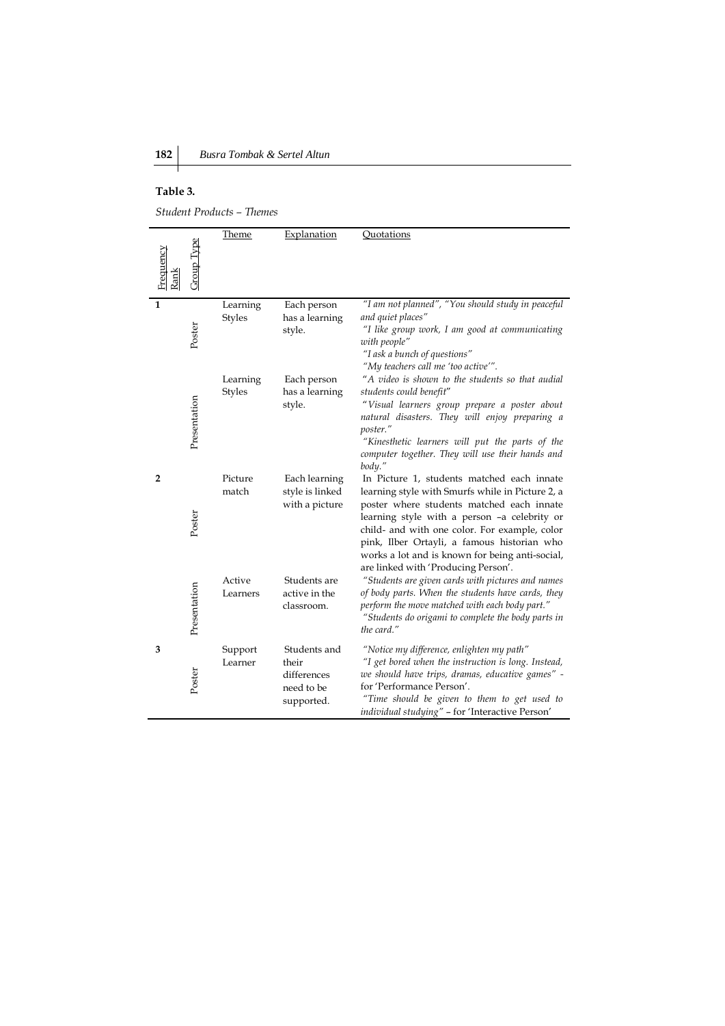# **Table 3.**

*Student Products – Themes*

| Frequency<br>Rank | Group Type   | Theme                     | Explanation                                                      | Quotations                                                                                                                                                                                                                                                                                                                                                                            |
|-------------------|--------------|---------------------------|------------------------------------------------------------------|---------------------------------------------------------------------------------------------------------------------------------------------------------------------------------------------------------------------------------------------------------------------------------------------------------------------------------------------------------------------------------------|
| $\mathbf{1}$      | Poster       | Learning<br><b>Styles</b> | Each person<br>has a learning<br>style.                          | "I am not planned", "You should study in peaceful<br>and quiet places"<br>"I like group work, I am good at communicating<br>with people"<br>"I ask a bunch of questions"<br>"My teachers call me 'too active'".                                                                                                                                                                       |
|                   | Presentation | Learning<br><b>Styles</b> | Each person<br>has a learning<br>style.                          | "A video is shown to the students so that audial<br>students could benefit"<br>"Visual learners group prepare a poster about<br>natural disasters. They will enjoy preparing a<br>poster."<br>"Kinesthetic learners will put the parts of the<br>computer together. They will use their hands and<br>body."                                                                           |
| $\overline{2}$    | Poster       | Picture<br>match          | Each learning<br>style is linked<br>with a picture               | In Picture 1, students matched each innate<br>learning style with Smurfs while in Picture 2, a<br>poster where students matched each innate<br>learning style with a person -a celebrity or<br>child- and with one color. For example, color<br>pink, Ilber Ortayli, a famous historian who<br>works a lot and is known for being anti-social,<br>are linked with 'Producing Person'. |
|                   | Presentation | Active<br>Learners        | Students are<br>active in the<br>classroom.                      | "Students are given cards with pictures and names<br>of body parts. When the students have cards, they<br>perform the move matched with each body part."<br>"Students do origami to complete the body parts in<br>the card."                                                                                                                                                          |
| 3                 | Poster       | Support<br>Learner        | Students and<br>their<br>differences<br>need to be<br>supported. | "Notice my difference, enlighten my path"<br>"I get bored when the instruction is long. Instead,<br>we should have trips, dramas, educative games" -<br>for 'Performance Person'.<br>"Time should be given to them to get used to<br>individual studying" - for 'Interactive Person'                                                                                                  |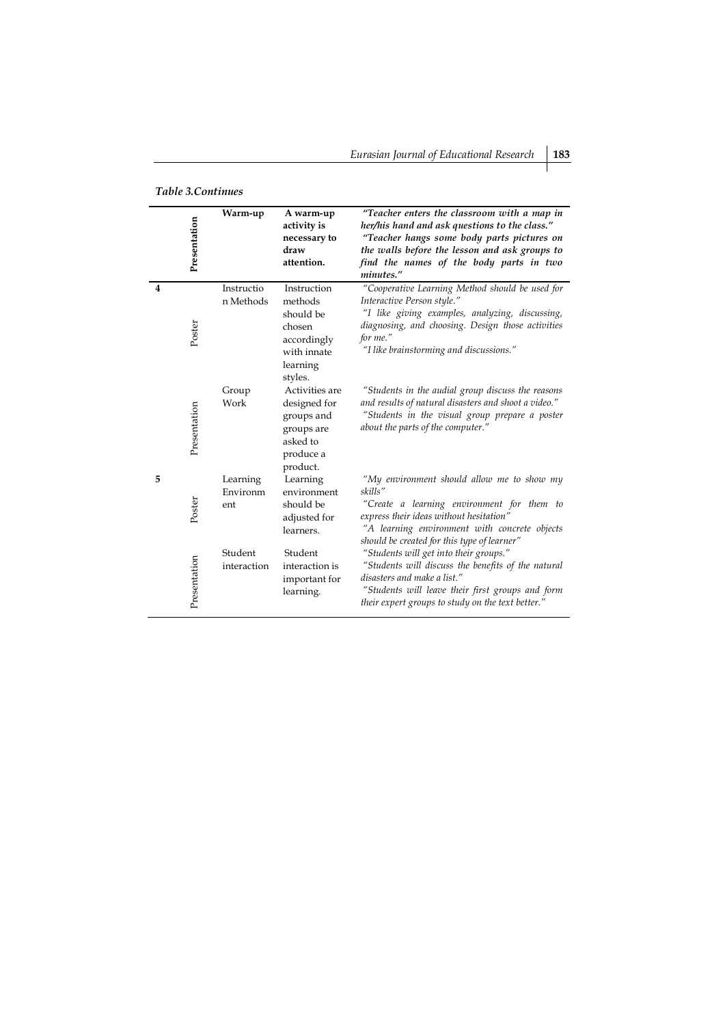| Table 3.Continues |  |
|-------------------|--|
|-------------------|--|

|                         | Presentation | Warm-up                     | A warm-up<br>activity is<br>necessary to<br>draw<br>attention.                                     | "Teacher enters the classroom with a map in<br>her/his hand and ask questions to the class."<br>"Teacher hangs some body parts pictures on<br>the walls before the lesson and ask groups to<br>find the names of the body parts in two<br>minutes." |
|-------------------------|--------------|-----------------------------|----------------------------------------------------------------------------------------------------|-----------------------------------------------------------------------------------------------------------------------------------------------------------------------------------------------------------------------------------------------------|
| $\overline{\mathbf{4}}$ | Poster       | Instructio<br>n Methods     | Instruction<br>methods<br>should be<br>chosen<br>accordingly<br>with innate<br>learning<br>styles. | "Cooperative Learning Method should be used for<br>Interactive Person style."<br>"I like giving examples, analyzing, discussing,<br>diagnosing, and choosing. Design those activities<br>for me."<br>"I like brainstorming and discussions."        |
|                         | Presentation | Group<br>Work               | Activities are<br>designed for<br>groups and<br>groups are<br>asked to<br>produce a<br>product.    | "Students in the audial group discuss the reasons<br>and results of natural disasters and shoot a video."<br>"Students in the visual group prepare a poster<br>about the parts of the computer."                                                    |
| 5                       | Poster       | Learning<br>Environm<br>ent | Learning<br>environment<br>should be<br>adjusted for<br>learners.                                  | "My environment should allow me to show my<br>skills"<br>"Create a learning environment for them to<br>express their ideas without hesitation"<br>"A learning environment with concrete objects<br>should be created for this type of learner"      |
|                         | Presentation | Student<br>interaction      | Student<br>interaction is<br>important for<br>learning.                                            | "Students will get into their groups."<br>"Students will discuss the benefits of the natural<br>disasters and make a list."<br>"Students will leave their first groups and form<br>their expert groups to study on the text better."                |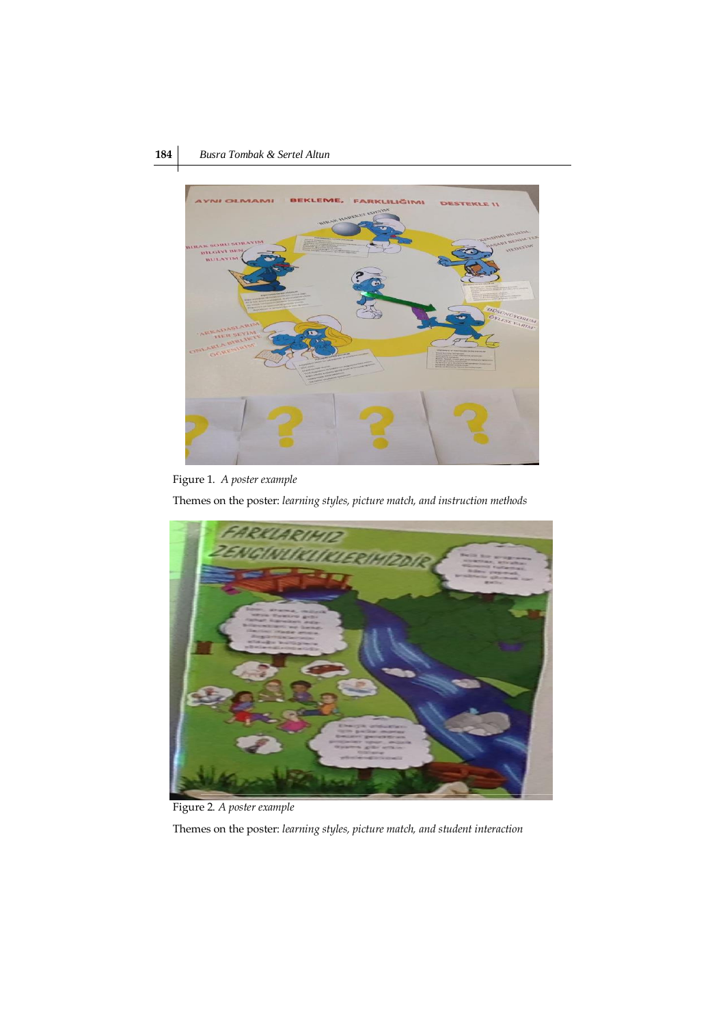# **184** *Busra Tombak & Sertel Altun*



Figure 1. *A poster example*

Themes on the poster: *learning styles, picture match, and instruction methods*



Figure 2. *A poster example*

Themes on the poster: *learning styles, picture match, and student interaction*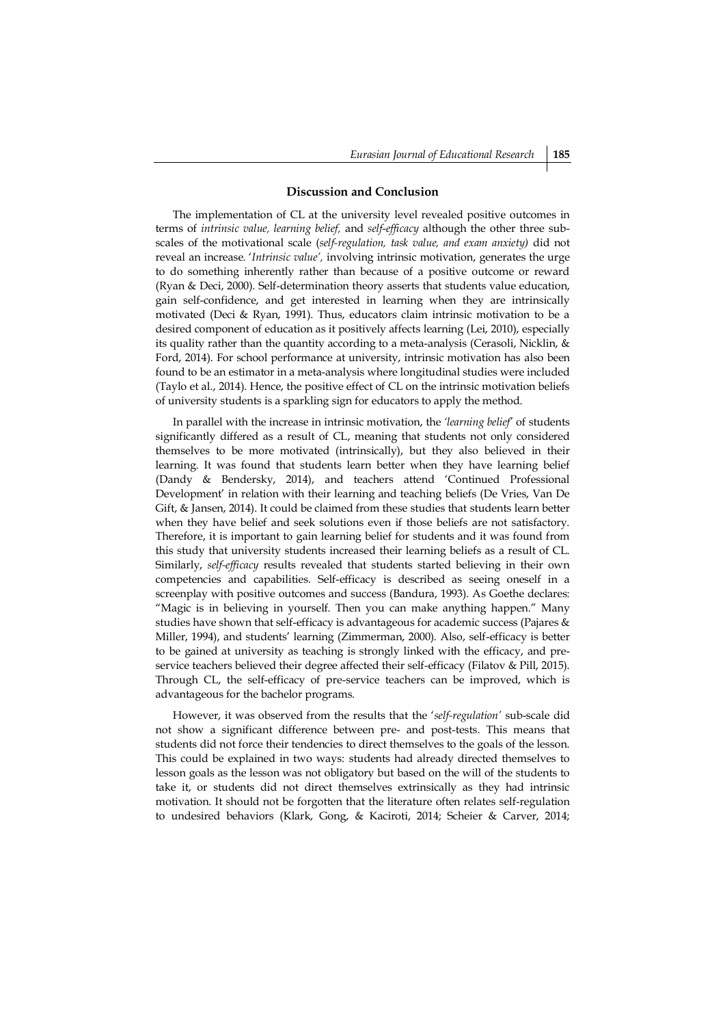### **Discussion and Conclusion**

The implementation of CL at the university level revealed positive outcomes in terms of *intrinsic value, learning belief,* and *self*-*efficacy* although the other three subscales of the motivational scale (*self-regulation, task value, and exam anxiety)* did not reveal an increase*.* '*Intrinsic value',* involving intrinsic motivation, generates the urge to do something inherently rather than because of a positive outcome or reward (Ryan & Deci, 2000). Self-determination theory asserts that students value education, gain self-confidence, and get interested in learning when they are intrinsically motivated (Deci & Ryan, 1991). Thus, educators claim intrinsic motivation to be a desired component of education as it positively affects learning (Lei, 2010), especially its quality rather than the quantity according to a meta-analysis (Cerasoli, Nicklin, & Ford, 2014). For school performance at university, intrinsic motivation has also been found to be an estimator in a meta-analysis where longitudinal studies were included (Taylo et al., 2014). Hence, the positive effect of CL on the intrinsic motivation beliefs of university students is a sparkling sign for educators to apply the method.

In parallel with the increase in intrinsic motivation, the *'learning belief'* of students significantly differed as a result of CL, meaning that students not only considered themselves to be more motivated (intrinsically), but they also believed in their learning. It was found that students learn better when they have learning belief (Dandy & Bendersky, 2014), and teachers attend 'Continued Professional Development' in relation with their learning and teaching beliefs (De Vries, Van De Gift, & Jansen, 2014). It could be claimed from these studies that students learn better when they have belief and seek solutions even if those beliefs are not satisfactory. Therefore, it is important to gain learning belief for students and it was found from this study that university students increased their learning beliefs as a result of CL. Similarly, *self-efficacy* results revealed that students started believing in their own competencies and capabilities. Self-efficacy is described as seeing oneself in a screenplay with positive outcomes and success (Bandura, 1993). As Goethe declares: "Magic is in believing in yourself. Then you can make anything happen." Many studies have shown that self-efficacy is advantageous for academic success (Pajares & Miller, 1994), and students' learning (Zimmerman, 2000). Also, self-efficacy is better to be gained at university as teaching is strongly linked with the efficacy, and preservice teachers believed their degree affected their self-efficacy (Filatov & Pill, 2015). Through CL, the self-efficacy of pre-service teachers can be improved, which is advantageous for the bachelor programs.

However, it was observed from the results that the '*self-regulation'* sub-scale did not show a significant difference between pre- and post-tests. This means that students did not force their tendencies to direct themselves to the goals of the lesson. This could be explained in two ways: students had already directed themselves to lesson goals as the lesson was not obligatory but based on the will of the students to take it, or students did not direct themselves extrinsically as they had intrinsic motivation. It should not be forgotten that the literature often relates self-regulation to undesired behaviors (Klark, Gong, & Kaciroti, 2014; Scheier & Carver, 2014;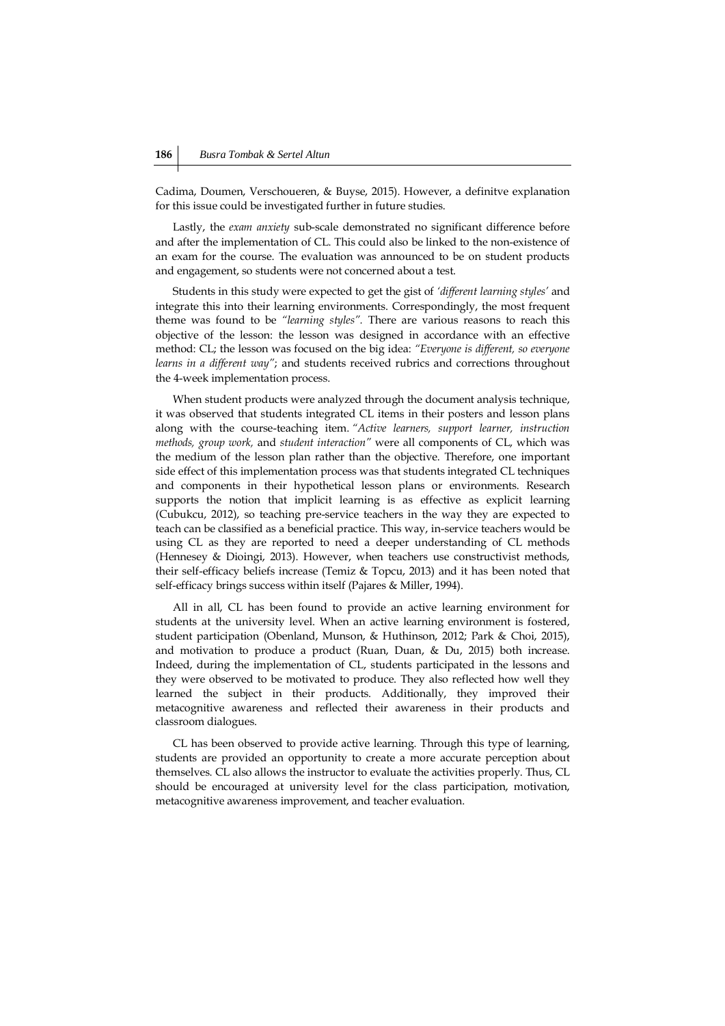Cadima, Doumen, Verschoueren, & Buyse, 2015). However, a definitve explanation for this issue could be investigated further in future studies.

Lastly, the *exam anxiety* sub-scale demonstrated no significant difference before and after the implementation of CL. This could also be linked to the non-existence of an exam for the course. The evaluation was announced to be on student products and engagement, so students were not concerned about a test.

Students in this study were expected to get the gist of *'different learning styles'* and integrate this into their learning environments. Correspondingly, the most frequent theme was found to be *"learning styles".* There are various reasons to reach this objective of the lesson: the lesson was designed in accordance with an effective method: CL; the lesson was focused on the big idea: *"Everyone is different, so everyone learns in a different way"*; and students received rubrics and corrections throughout the 4-week implementation process.

When student products were analyzed through the document analysis technique, it was observed that students integrated CL items in their posters and lesson plans along with the course-teaching item. *"Active learners, support learner, instruction methods, group work,* and *student interaction"* were all components of CL, which was the medium of the lesson plan rather than the objective. Therefore, one important side effect of this implementation process was that students integrated CL techniques and components in their hypothetical lesson plans or environments. Research supports the notion that implicit learning is as effective as explicit learning (Cubukcu, 2012), so teaching pre-service teachers in the way they are expected to teach can be classified as a beneficial practice. This way, in-service teachers would be using CL as they are reported to need a deeper understanding of CL methods (Hennesey & Dioingi, 2013). However, when teachers use constructivist methods, their self-efficacy beliefs increase (Temiz & Topcu, 2013) and it has been noted that self-efficacy brings success within itself (Pajares & Miller, 1994).

All in all, CL has been found to provide an active learning environment for students at the university level. When an active learning environment is fostered, student participation (Obenland, Munson, & Huthinson, 2012; Park & Choi, 2015), and motivation to produce a product (Ruan, Duan, & Du, 2015) both increase. Indeed, during the implementation of CL, students participated in the lessons and they were observed to be motivated to produce. They also reflected how well they learned the subject in their products. Additionally, they improved their metacognitive awareness and reflected their awareness in their products and classroom dialogues.

CL has been observed to provide active learning. Through this type of learning, students are provided an opportunity to create a more accurate perception about themselves. CL also allows the instructor to evaluate the activities properly. Thus, CL should be encouraged at university level for the class participation, motivation, metacognitive awareness improvement, and teacher evaluation.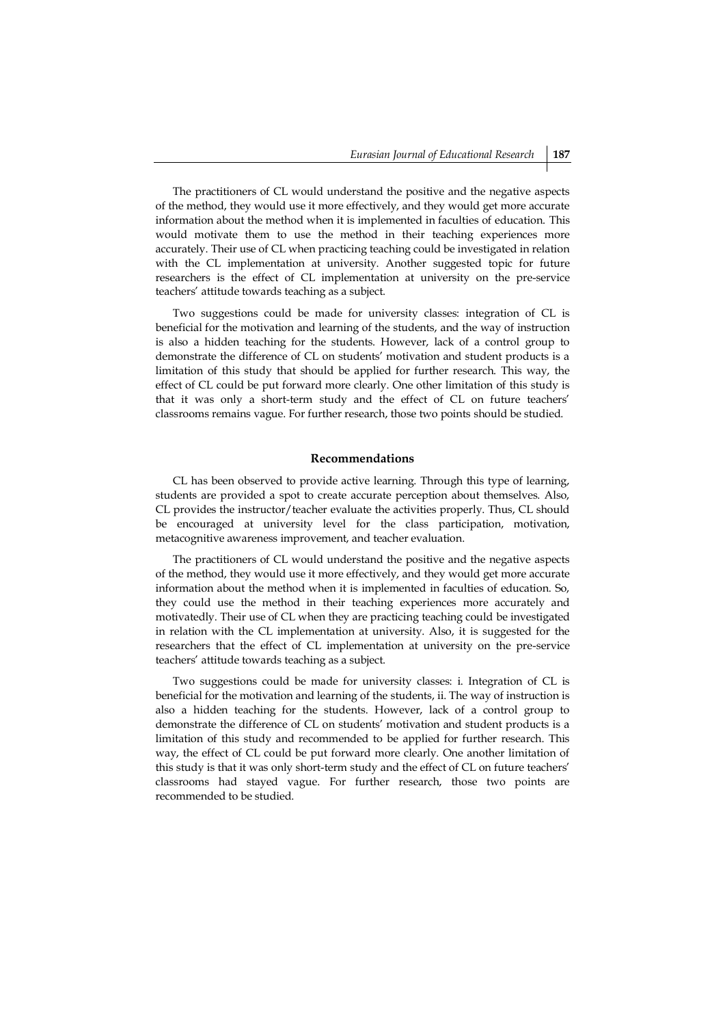The practitioners of CL would understand the positive and the negative aspects of the method, they would use it more effectively, and they would get more accurate information about the method when it is implemented in faculties of education. This would motivate them to use the method in their teaching experiences more accurately. Their use of CL when practicing teaching could be investigated in relation with the CL implementation at university. Another suggested topic for future researchers is the effect of CL implementation at university on the pre-service teachers' attitude towards teaching as a subject.

Two suggestions could be made for university classes: integration of CL is beneficial for the motivation and learning of the students, and the way of instruction is also a hidden teaching for the students. However, lack of a control group to demonstrate the difference of CL on students' motivation and student products is a limitation of this study that should be applied for further research. This way, the effect of CL could be put forward more clearly. One other limitation of this study is that it was only a short-term study and the effect of CL on future teachers' classrooms remains vague. For further research, those two points should be studied.

## **Recommendations**

CL has been observed to provide active learning. Through this type of learning, students are provided a spot to create accurate perception about themselves. Also, CL provides the instructor/teacher evaluate the activities properly. Thus, CL should be encouraged at university level for the class participation, motivation, metacognitive awareness improvement, and teacher evaluation.

The practitioners of CL would understand the positive and the negative aspects of the method, they would use it more effectively, and they would get more accurate information about the method when it is implemented in faculties of education. So, they could use the method in their teaching experiences more accurately and motivatedly. Their use of CL when they are practicing teaching could be investigated in relation with the CL implementation at university. Also, it is suggested for the researchers that the effect of CL implementation at university on the pre-service teachers' attitude towards teaching as a subject.

Two suggestions could be made for university classes: i. Integration of CL is beneficial for the motivation and learning of the students, ii. The way of instruction is also a hidden teaching for the students. However, lack of a control group to demonstrate the difference of CL on students' motivation and student products is a limitation of this study and recommended to be applied for further research. This way, the effect of CL could be put forward more clearly. One another limitation of this study is that it was only short-term study and the effect of CL on future teachers' classrooms had stayed vague. For further research, those two points are recommended to be studied.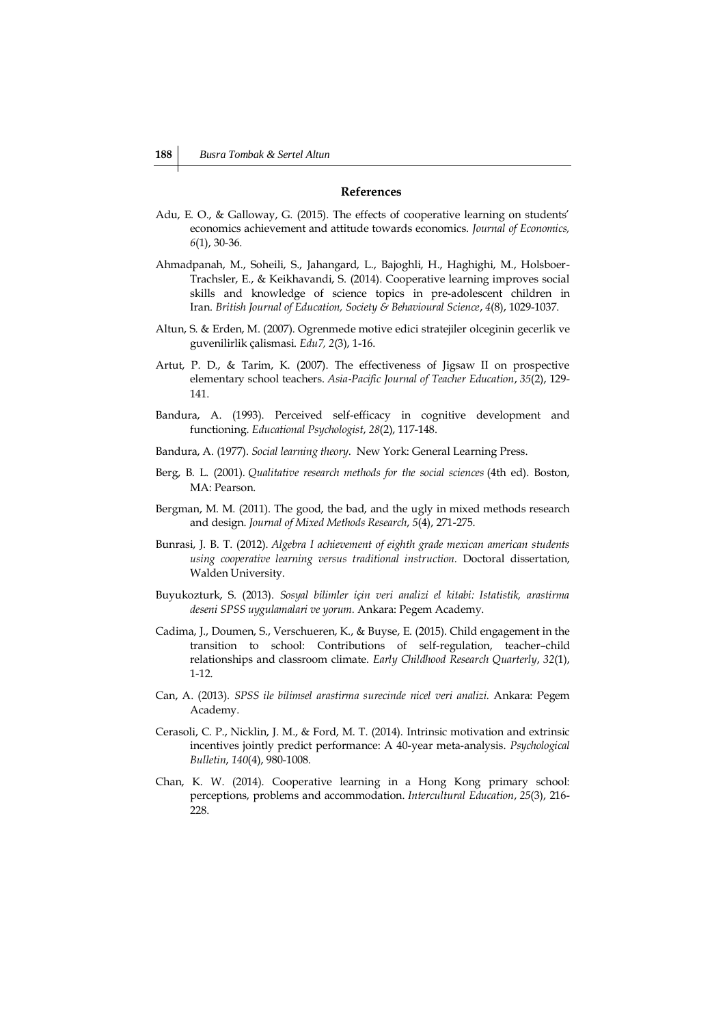## **References**

- Adu, E. O., & Galloway, G. (2015). The effects of cooperative learning on students' economics achievement and attitude towards economics. *Journal of Economics, 6*(1), 30-36.
- Ahmadpanah, M., Soheili, S., Jahangard, L., Bajoghli, H., Haghighi, M., Holsboer-Trachsler, E., & Keikhavandi, S. (2014). Cooperative learning improves social skills and knowledge of science topics in pre-adolescent children in Iran. *British Journal of Education, Society & Behavioural Science*, *4*(8), 1029-1037.
- Altun, S. & Erden, M. (2007). Ogrenmede motive edici stratejiler olceginin gecerlik ve guvenilirlik çalismasi. *Edu7, 2*(3), 1-16.
- Artut, P. D., & Tarim, K. (2007). The effectiveness of Jigsaw II on prospective elementary school teachers. *Asia*‐*Pacific Journal of Teacher Education*, *35*(2), 129- 141.
- Bandura, A. (1993). Perceived self-efficacy in cognitive development and functioning. *Educational Psychologist*, *28*(2), 117-148.
- Bandura, A. (1977). *Social learning theory*. New York: General Learning Press.
- Berg, B. L. (2001). *Qualitative research methods for the social sciences* (4th ed). Boston, MA: Pearson.
- Bergman, M. M. (2011). The good, the bad, and the ugly in mixed methods research and design. *Journal of Mixed Methods Research*, *5*(4), 271-275.
- Bunrasi, J. B. T. (2012). *Algebra I achievement of eighth grade mexican american students using cooperative learning versus traditional instruction.* Doctoral dissertation, Walden University.
- Buyukozturk, S. (2013). *Sosyal bilimler için veri analizi el kitabi: Istatistik, arastirma deseni SPSS uygulamalari ve yorum.* Ankara: Pegem Academy.
- Cadima, J., Doumen, S., Verschueren, K., & Buyse, E. (2015). Child engagement in the transition to school: Contributions of self-regulation, teacher–child relationships and classroom climate. *Early Childhood Research Quarterly*, *32*(1), 1-12.
- Can, A. (2013). *SPSS ile bilimsel arastirma surecinde nicel veri analizi.* Ankara: Pegem Academy.
- Cerasoli, C. P., Nicklin, J. M., & Ford, M. T. (2014). Intrinsic motivation and extrinsic incentives jointly predict performance: A 40-year meta-analysis. *Psychological Bulletin*, *140*(4), 980-1008.
- Chan, K. W. (2014). Cooperative learning in a Hong Kong primary school: perceptions, problems and accommodation. *Intercultural Education*, *25*(3), 216- 228.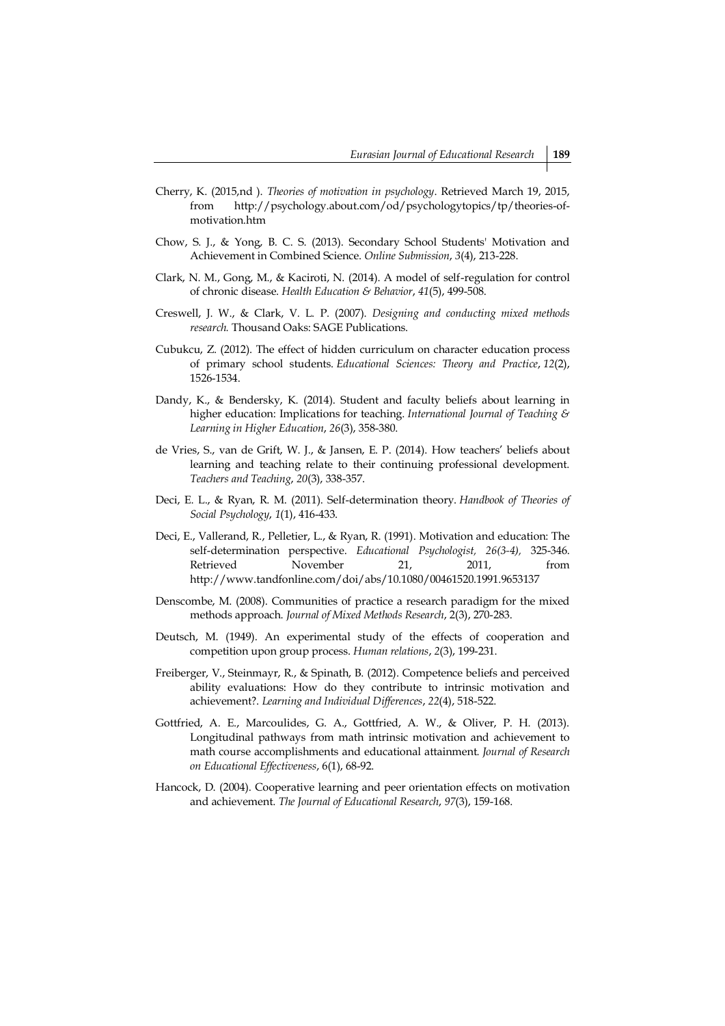- Cherry, K. (2015,nd ). *Theories of motivation in psychology*. Retrieved March 19, 2015, from http://psychology.about.com/od/psychologytopics/tp/theories-ofmotivation.htm
- Chow, S. J., & Yong, B. C. S. (2013). Secondary School Students' Motivation and Achievement in Combined Science. *Online Submission*, *3*(4), 213-228.
- Clark, N. M., Gong, M., & Kaciroti, N. (2014). A model of self-regulation for control of chronic disease. *Health Education & Behavior*, *41*(5), 499-508.
- Creswell, J. W., & Clark, V. L. P. (2007). *Designing and conducting mixed methods research.* Thousand Oaks: SAGE Publications.
- Cubukcu, Z. (2012). The effect of hidden curriculum on character education process of primary school students. *Educational Sciences: Theory and Practice*, *12*(2), 1526-1534.
- Dandy, K., & Bendersky, K. (2014). Student and faculty beliefs about learning in higher education: Implications for teaching. *International Journal of Teaching & Learning in Higher Education*, *26*(3), 358-380.
- de Vries, S., van de Grift, W. J., & Jansen, E. P. (2014). How teachers' beliefs about learning and teaching relate to their continuing professional development. *Teachers and Teaching*, *20*(3), 338-357.
- Deci, E. L., & Ryan, R. M. (2011). Self-determination theory. *Handbook of Theories of Social Psychology*, *1*(1), 416-433.
- Deci, E., Vallerand, R., Pelletier, L., & Ryan, R. (1991). Motivation and education: The self-determination perspective. *Educational Psychologist, 26(3-4),* 325-346. Retrieved November 21, 2011, from http://www.tandfonline.com/doi/abs/10.1080/00461520.1991.9653137
- Denscombe, M. (2008). Communities of practice a research paradigm for the mixed methods approach. *Journal of Mixed Methods Research*, 2(3), 270-283.
- Deutsch, M. (1949). An experimental study of the effects of cooperation and competition upon group process. *Human relations*, *2*(3), 199-231.
- Freiberger, V., Steinmayr, R., & Spinath, B. (2012). Competence beliefs and perceived ability evaluations: How do they contribute to intrinsic motivation and achievement?. *Learning and Individual Differences*, *22*(4), 518-522.
- Gottfried, A. E., Marcoulides, G. A., Gottfried, A. W., & Oliver, P. H. (2013). Longitudinal pathways from math intrinsic motivation and achievement to math course accomplishments and educational attainment. *Journal of Research on Educational Effectiveness*, 6(1), 68-92.
- Hancock, D. (2004). Cooperative learning and peer orientation effects on motivation and achievement. *The Journal of Educational Research*, *97*(3), 159-168.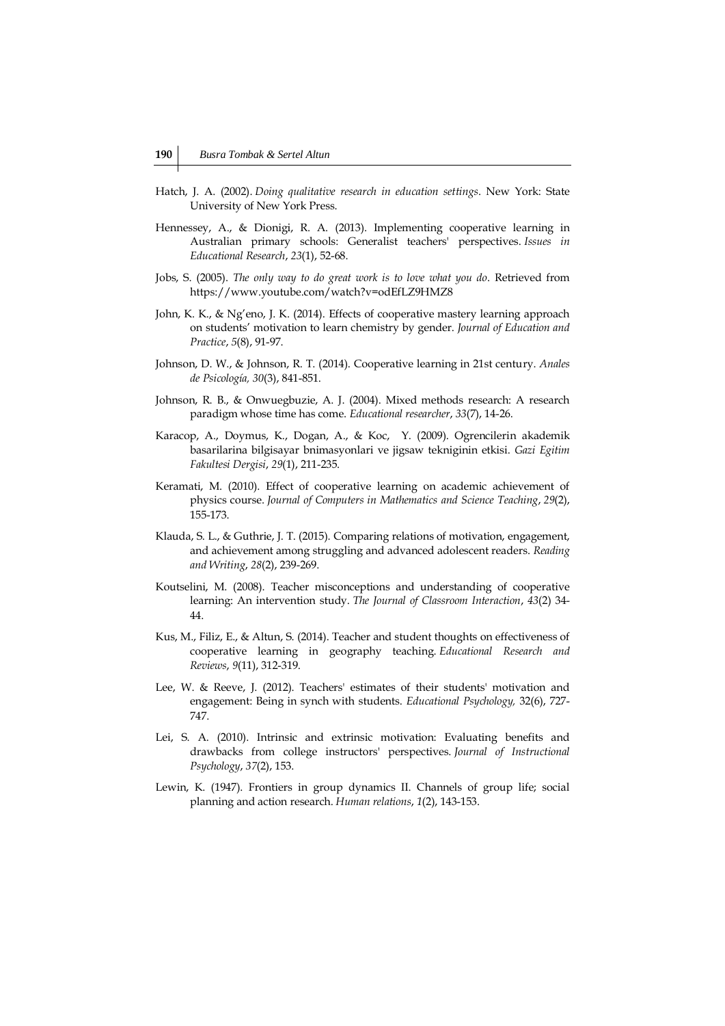- Hatch, J. A. (2002). *Doing qualitative research in education settings*. New York: State University of New York Press.
- Hennessey, A., & Dionigi, R. A. (2013). Implementing cooperative learning in Australian primary schools: Generalist teachers' perspectives. *Issues in Educational Research*, *23*(1), 52-68.
- Jobs, S. (2005). *The only way to do great work is to love what you do*. Retrieved from https://www.youtube.com/watch?v=odEfLZ9HMZ8
- John, K. K., & Ng'eno, J. K. (2014). Effects of cooperative mastery learning approach on students' motivation to learn chemistry by gender. *Journal of Education and Practice*, *5*(8), 91-97.
- Johnson, D. W., & Johnson, R. T. (2014). Cooperative learning in 21st century. *Anales de Psicología, 30*(3), 841-851.
- Johnson, R. B., & Onwuegbuzie, A. J. (2004). Mixed methods research: A research paradigm whose time has come. *Educational researcher*, *33*(7), 14-26.
- Karacop, A., Doymus, K., Dogan, A., & Koc, Y. (2009). Ogrencilerin akademik basarilarina bilgisayar bnimasyonlari ve jigsaw tekniginin etkisi. *Gazi Egitim Fakultesi Dergisi*, *29*(1), 211-235.
- Keramati, M. (2010). Effect of cooperative learning on academic achievement of physics course. *Journal of Computers in Mathematics and Science Teaching*, *29*(2), 155-173.
- Klauda, S. L., & Guthrie, J. T. (2015). Comparing relations of motivation, engagement, and achievement among struggling and advanced adolescent readers. *Reading and Writing*, *28*(2), 239-269.
- Koutselini, M. (2008). Teacher misconceptions and understanding of cooperative learning: An intervention study. *The Journal of Classroom Interaction*, *43*(2) 34- 44.
- Kus, M., Filiz, E., & Altun, S. (2014). Teacher and student thoughts on effectiveness of cooperative learning in geography teaching. *Educational Research and Reviews*, *9*(11), 312-319.
- Lee, W. & Reeve, J. (2012). Teachers' estimates of their students' motivation and engagement: Being in synch with students. *Educational Psychology,* 32(6), 727- 747.
- Lei, S. A. (2010). Intrinsic and extrinsic motivation: Evaluating benefits and drawbacks from college instructors' perspectives. *Journal of Instructional Psychology*, *37*(2), 153.
- Lewin, K. (1947). Frontiers in group dynamics II. Channels of group life; social planning and action research. *Human relations*, *1*(2), 143-153.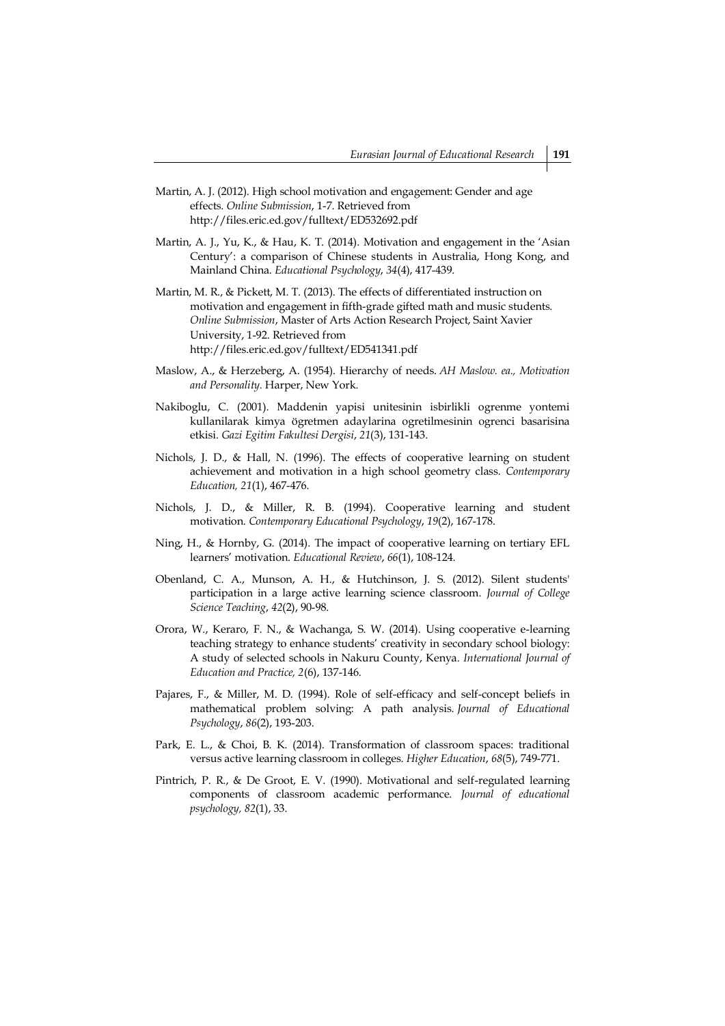- Martin, A. J. (2012). High school motivation and engagement: Gender and age effects. *Online Submission*, 1-7. Retrieved from http://files.eric.ed.gov/fulltext/ED532692.pdf
- Martin, A. J., Yu, K., & Hau, K. T. (2014). Motivation and engagement in the 'Asian Century': a comparison of Chinese students in Australia, Hong Kong, and Mainland China. *Educational Psychology*, *34*(4), 417-439.
- Martin, M. R., & Pickett, M. T. (2013). The effects of differentiated instruction on motivation and engagement in fifth-grade gifted math and music students. *Online Submission*, Master of Arts Action Research Project, Saint Xavier University, 1-92. Retrieved from http://files.eric.ed.gov/fulltext/ED541341.pdf
- Maslow, A., & Herzeberg, A. (1954). Hierarchy of needs. *AH Maslow. ea., Motivation and Personality.* Harper, New York.
- Nakiboglu, C. (2001). Maddenin yapisi unitesinin isbirlikli ogrenme yontemi kullanilarak kimya ögretmen adaylarina ogretilmesinin ogrenci basarisina etkisi. *Gazi Egitim Fakultesi Dergisi*, *21*(3), 131-143.
- Nichols, J. D., & Hall, N. (1996). The effects of cooperative learning on student achievement and motivation in a high school geometry class. *Contemporary Education, 21*(1), 467-476.
- Nichols, J. D., & Miller, R. B. (1994). Cooperative learning and student motivation. *Contemporary Educational Psychology*, *19*(2), 167-178.
- Ning, H., & Hornby, G. (2014). The impact of cooperative learning on tertiary EFL learners' motivation. *Educational Review*, *66*(1), 108-124.
- Obenland, C. A., Munson, A. H., & Hutchinson, J. S. (2012). Silent students' participation in a large active learning science classroom. *Journal of College Science Teaching*, *42*(2), 90-98.
- Orora, W., Keraro, F. N., & Wachanga, S. W. (2014). Using cooperative e-learning teaching strategy to enhance students' creativity in secondary school biology: A study of selected schools in Nakuru County, Kenya. *International Journal of Education and Practice, 2*(6), 137-146.
- Pajares, F., & Miller, M. D. (1994). Role of self-efficacy and self-concept beliefs in mathematical problem solving: A path analysis. *Journal of Educational Psychology*, *86*(2), 193-203.
- Park, E. L., & Choi, B. K. (2014). Transformation of classroom spaces: traditional versus active learning classroom in colleges. *Higher Education*, *68*(5), 749-771.
- Pintrich, P. R., & De Groot, E. V. (1990). Motivational and self-regulated learning components of classroom academic performance. *Journal of educational psychology, 82*(1), 33.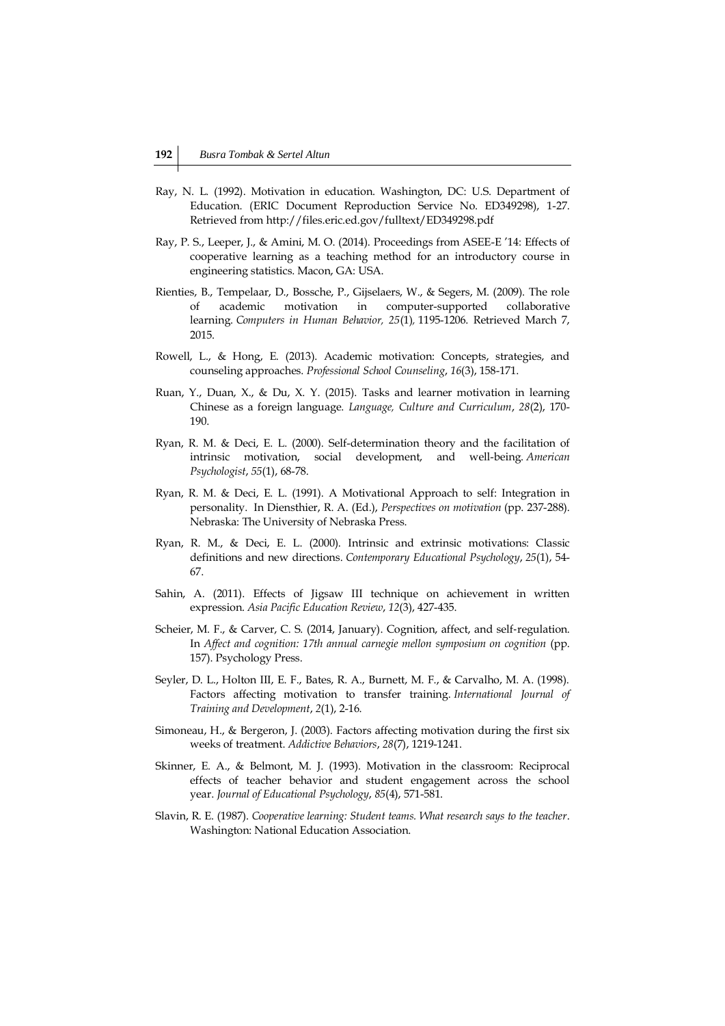- Ray, N. L. (1992). Motivation in education. Washington, DC: U.S. Department of Education. (ERIC Document Reproduction Service No. ED349298), 1-27. Retrieved from http://files.eric.ed.gov/fulltext/ED349298.pdf
- Ray, P. S., Leeper, J., & Amini, M. O. (2014). Proceedings from ASEE-E '14: Effects of cooperative learning as a teaching method for an introductory course in engineering statistics. Macon, GA: USA.
- Rienties, B., Tempelaar, D., Bossche, P., Gijselaers, W., & Segers, M. (2009). The role of academic motivation in computer-supported collaborative learning. *Computers in Human Behavior, 25*(1)*,* 1195-1206. Retrieved March 7, 2015.
- Rowell, L., & Hong, E. (2013). Academic motivation: Concepts, strategies, and counseling approaches. *Professional School Counseling*, *16*(3), 158-171.
- Ruan, Y., Duan, X., & Du, X. Y. (2015). Tasks and learner motivation in learning Chinese as a foreign language. *Language, Culture and Curriculum*, *28*(2), 170- 190.
- Ryan, R. M. & Deci, E. L. (2000). Self-determination theory and the facilitation of intrinsic motivation, social development, and well-being. *American Psychologist*, *55*(1), 68-78.
- Ryan, R. M. & Deci, E. L. (1991). A Motivational Approach to self: Integration in personality. In Diensthier, R. A. (Ed.), *Perspectives on motivation* (pp. 237-288). Nebraska: The University of Nebraska Press.
- Ryan, R. M., & Deci, E. L. (2000). Intrinsic and extrinsic motivations: Classic definitions and new directions. *Contemporary Educational Psychology*, *25*(1), 54- 67.
- Sahin, A. (2011). Effects of Jigsaw III technique on achievement in written expression. *Asia Pacific Education Review*, *12*(3), 427-435.
- Scheier, M. F., & Carver, C. S. (2014, January). Cognition, affect, and self-regulation. In *Affect and cognition: 17th annual carnegie mellon symposium on cognition* (pp. 157). Psychology Press.
- Seyler, D. L., Holton III, E. F., Bates, R. A., Burnett, M. F., & Carvalho, M. A. (1998). Factors affecting motivation to transfer training. *International Journal of Training and Development*, *2*(1), 2-16.
- Simoneau, H., & Bergeron, J. (2003). Factors affecting motivation during the first six weeks of treatment. *Addictive Behaviors*, *28*(7), 1219-1241.
- Skinner, E. A., & Belmont, M. J. (1993). Motivation in the classroom: Reciprocal effects of teacher behavior and student engagement across the school year. *Journal of Educational Psychology*, *85*(4), 571-581.
- Slavin, R. E. (1987). *Cooperative learning: Student teams. What research says to the teacher*. Washington: National Education Association.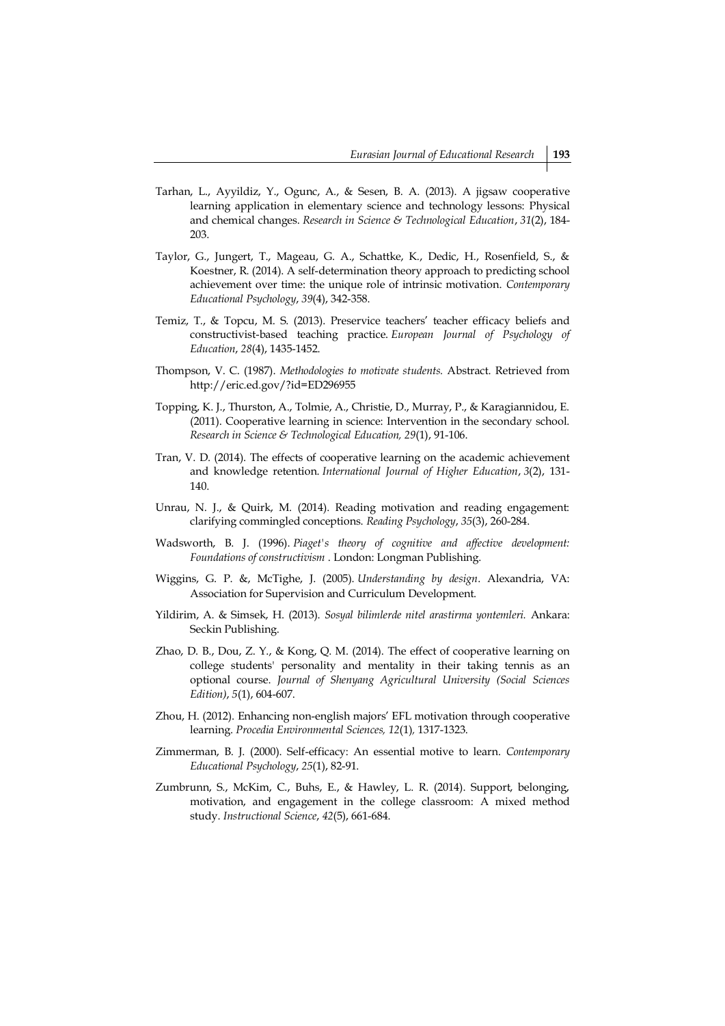- Tarhan, L., Ayyildiz, Y., Ogunc, A., & Sesen, B. A. (2013). A jigsaw cooperative learning application in elementary science and technology lessons: Physical and chemical changes. *Research in Science & Technological Education*, *31*(2), 184- 203.
- Taylor, G., Jungert, T., Mageau, G. A., Schattke, K., Dedic, H., Rosenfield, S., & Koestner, R. (2014). A self-determination theory approach to predicting school achievement over time: the unique role of intrinsic motivation. *Contemporary Educational Psychology*, *39*(4), 342-358.
- Temiz, T., & Topcu, M. S. (2013). Preservice teachers' teacher efficacy beliefs and constructivist-based teaching practice. *European Journal of Psychology of Education*, *28*(4), 1435-1452.
- Thompson, V. C. (1987). *Methodologies to motivate students.* Abstract. Retrieved from http://eric.ed.gov/?id=ED296955
- Topping, K. J., Thurston, A., Tolmie, A., Christie, D., Murray, P., & Karagiannidou, E. (2011). Cooperative learning in science: Intervention in the secondary school. *Research in Science & Technological Education, 29*(1), 91-106.
- Tran, V. D. (2014). The effects of cooperative learning on the academic achievement and knowledge retention. *International Journal of Higher Education*, *3*(2), 131- 140.
- Unrau, N. J., & Quirk, M. (2014). Reading motivation and reading engagement: clarifying commingled conceptions. *Reading Psychology*, *35*(3), 260-284.
- Wadsworth, B. J. (1996). *Piaget's theory of cognitive and affective development: Foundations of constructivism* . London: Longman Publishing.
- Wiggins, G. P. &, McTighe, J. (2005). *Understanding by design*. Alexandria, VA: Association for Supervision and Curriculum Development.
- Yildirim, A. & Simsek, H. (2013). *Sosyal bilimlerde nitel arastirma yontemleri.* Ankara: Seckin Publishing.
- Zhao, D. B., Dou, Z. Y., & Kong, Q. M. (2014). The effect of cooperative learning on college students' personality and mentality in their taking tennis as an optional course. *Journal of Shenyang Agricultural University (Social Sciences Edition)*, *5*(1), 604-607.
- Zhou, H. (2012). Enhancing non-english majors' EFL motivation through cooperative learning. *Procedia Environmental Sciences, 12*(1)*,* 1317-1323.
- Zimmerman, B. J. (2000). Self-efficacy: An essential motive to learn. *Contemporary Educational Psychology*, *25*(1), 82-91.
- Zumbrunn, S., McKim, C., Buhs, E., & Hawley, L. R. (2014). Support, belonging, motivation, and engagement in the college classroom: A mixed method study. *Instructional Science*, *42*(5), 661-684.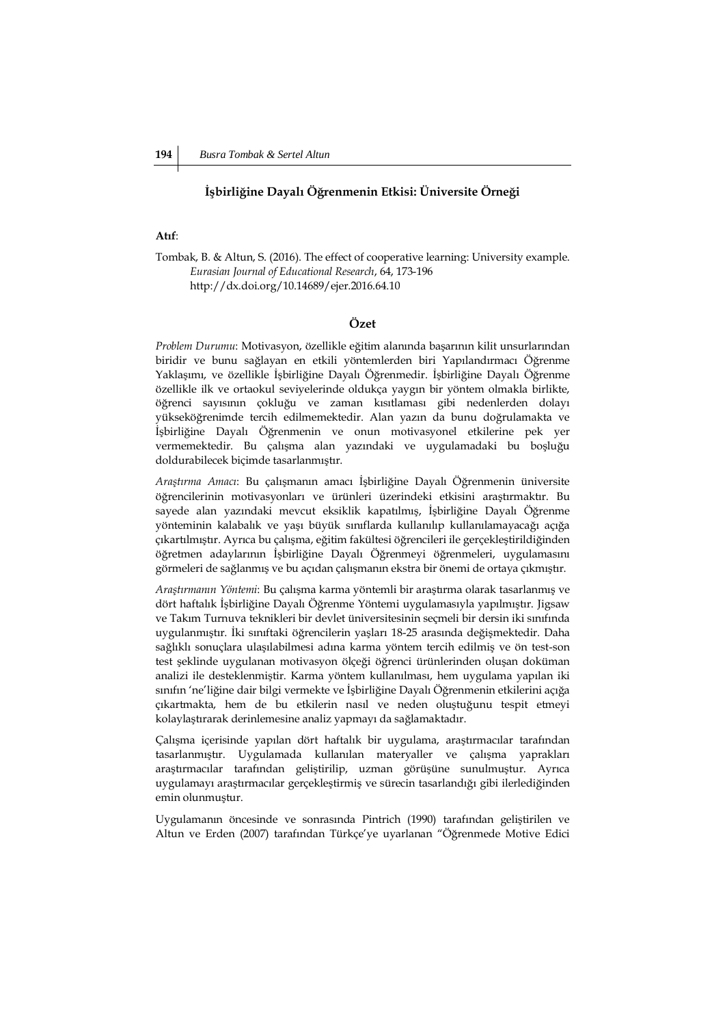## **İşbirliğine Dayalı Öğrenmenin Etkisi: Üniversite Örneği**

# **Atıf**:

Tombak, B. & Altun, S. (2016). The effect of cooperative learning: University example. *Eurasian Journal of Educational Research*, 64, 173-196 http://dx.doi.org/10.14689/ejer.2016.64.10

## **Özet**

*Problem Durumu*: Motivasyon, özellikle eğitim alanında başarının kilit unsurlarından biridir ve bunu sağlayan en etkili yöntemlerden biri Yapılandırmacı Öğrenme Yaklaşımı, ve özellikle İşbirliğine Dayalı Öğrenmedir. İşbirliğine Dayalı Öğrenme özellikle ilk ve ortaokul seviyelerinde oldukça yaygın bir yöntem olmakla birlikte, öğrenci sayısının çokluğu ve zaman kısıtlaması gibi nedenlerden dolayı yükseköğrenimde tercih edilmemektedir. Alan yazın da bunu doğrulamakta ve İşbirliğine Dayalı Öğrenmenin ve onun motivasyonel etkilerine pek yer vermemektedir. Bu çalışma alan yazındaki ve uygulamadaki bu boşluğu doldurabilecek biçimde tasarlanmıştır.

*Araştırma Amacı*: Bu çalışmanın amacı İşbirliğine Dayalı Öğrenmenin üniversite öğrencilerinin motivasyonları ve ürünleri üzerindeki etkisini araştırmaktır. Bu sayede alan yazındaki mevcut eksiklik kapatılmış, İşbirliğine Dayalı Öğrenme yönteminin kalabalık ve yaşı büyük sınıflarda kullanılıp kullanılamayacağı açığa çıkartılmıştır. Ayrıca bu çalışma, eğitim fakültesi öğrencileri ile gerçekleştirildiğinden öğretmen adaylarının İşbirliğine Dayalı Öğrenmeyi öğrenmeleri, uygulamasını görmeleri de sağlanmış ve bu açıdan çalışmanın ekstra bir önemi de ortaya çıkmıştır.

*Araştırmanın Yöntemi*: Bu çalışma karma yöntemli bir araştırma olarak tasarlanmış ve dört haftalık İşbirliğine Dayalı Öğrenme Yöntemi uygulamasıyla yapılmıştır. Jigsaw ve Takım Turnuva teknikleri bir devlet üniversitesinin seçmeli bir dersin iki sınıfında uygulanmıştır. İki sınıftaki öğrencilerin yaşları 18-25 arasında değişmektedir. Daha sağlıklı sonuçlara ulaşılabilmesi adına karma yöntem tercih edilmiş ve ön test-son test şeklinde uygulanan motivasyon ölçeği öğrenci ürünlerinden oluşan doküman analizi ile desteklenmiştir. Karma yöntem kullanılması, hem uygulama yapılan iki sınıfın 'ne'liğine dair bilgi vermekte ve İşbirliğine Dayalı Öğrenmenin etkilerini açığa çıkartmakta, hem de bu etkilerin nasıl ve neden oluştuğunu tespit etmeyi kolaylaştırarak derinlemesine analiz yapmayı da sağlamaktadır.

Çalışma içerisinde yapılan dört haftalık bir uygulama, araştırmacılar tarafından tasarlanmıştır. Uygulamada kullanılan materyaller ve çalışma yaprakları araştırmacılar tarafından geliştirilip, uzman görüşüne sunulmuştur. Ayrıca uygulamayı araştırmacılar gerçekleştirmiş ve sürecin tasarlandığı gibi ilerlediğinden emin olunmuştur.

Uygulamanın öncesinde ve sonrasında Pintrich (1990) tarafından geliştirilen ve Altun ve Erden (2007) tarafından Türkçe'ye uyarlanan "Öğrenmede Motive Edici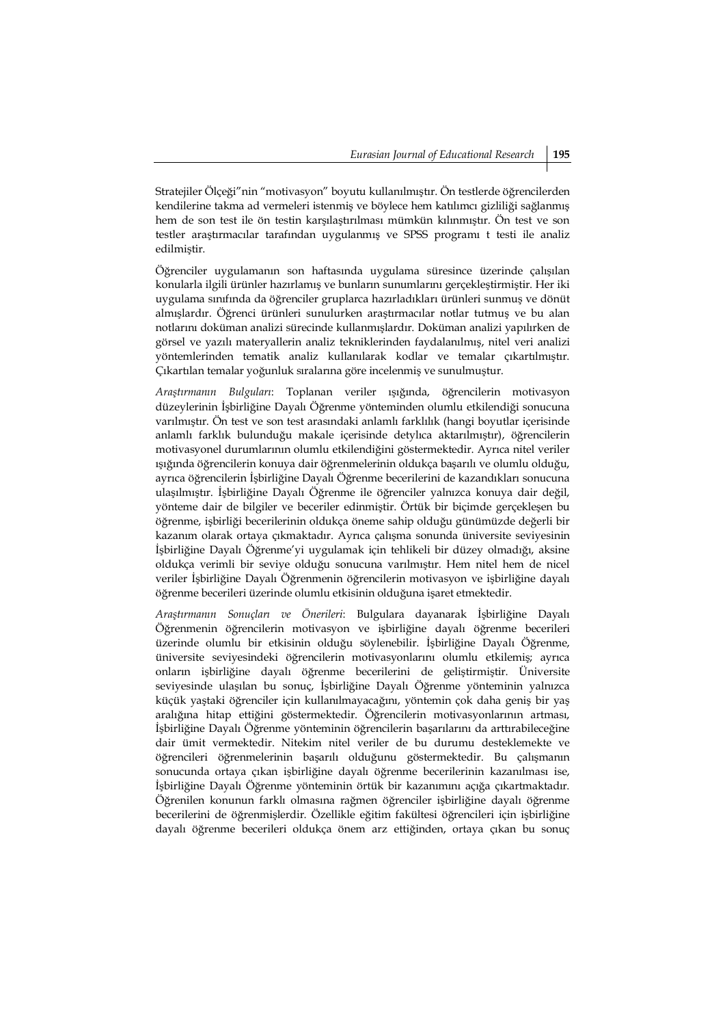Stratejiler Ölçeği"nin "motivasyon" boyutu kullanılmıştır. Ön testlerde öğrencilerden kendilerine takma ad vermeleri istenmiş ve böylece hem katılımcı gizliliği sağlanmış hem de son test ile ön testin karşılaştırılması mümkün kılınmıştır. Ön test ve son testler araştırmacılar tarafından uygulanmış ve SPSS programı t testi ile analiz edilmiştir.

Öğrenciler uygulamanın son haftasında uygulama süresince üzerinde çalışılan konularla ilgili ürünler hazırlamış ve bunların sunumlarını gerçekleştirmiştir. Her iki uygulama sınıfında da öğrenciler gruplarca hazırladıkları ürünleri sunmuş ve dönüt almışlardır. Öğrenci ürünleri sunulurken araştırmacılar notlar tutmuş ve bu alan notlarını doküman analizi sürecinde kullanmışlardır. Doküman analizi yapılırken de görsel ve yazılı materyallerin analiz tekniklerinden faydalanılmış, nitel veri analizi yöntemlerinden tematik analiz kullanılarak kodlar ve temalar çıkartılmıştır. Çıkartılan temalar yoğunluk sıralarına göre incelenmiş ve sunulmuştur.

*Araştırmanın Bulguları*: Toplanan veriler ışığında, öğrencilerin motivasyon düzeylerinin İşbirliğine Dayalı Öğrenme yönteminden olumlu etkilendiği sonucuna varılmıştır. Ön test ve son test arasındaki anlamlı farklılık (hangi boyutlar içerisinde anlamlı farklık bulunduğu makale içerisinde detylıca aktarılmıştır), öğrencilerin motivasyonel durumlarının olumlu etkilendiğini göstermektedir. Ayrıca nitel veriler ışığında öğrencilerin konuya dair öğrenmelerinin oldukça başarılı ve olumlu olduğu, ayrıca öğrencilerin İşbirliğine Dayalı Öğrenme becerilerini de kazandıkları sonucuna ulaşılmıştır. İşbirliğine Dayalı Öğrenme ile öğrenciler yalnızca konuya dair değil, yönteme dair de bilgiler ve beceriler edinmiştir. Örtük bir biçimde gerçekleşen bu öğrenme, işbirliği becerilerinin oldukça öneme sahip olduğu günümüzde değerli bir kazanım olarak ortaya çıkmaktadır. Ayrıca çalışma sonunda üniversite seviyesinin İşbirliğine Dayalı Öğrenme'yi uygulamak için tehlikeli bir düzey olmadığı, aksine oldukça verimli bir seviye olduğu sonucuna varılmıştır. Hem nitel hem de nicel veriler İşbirliğine Dayalı Öğrenmenin öğrencilerin motivasyon ve işbirliğine dayalı öğrenme becerileri üzerinde olumlu etkisinin olduğuna işaret etmektedir.

*Araştırmanın Sonuçları ve Önerileri*: Bulgulara dayanarak İşbirliğine Dayalı Öğrenmenin öğrencilerin motivasyon ve işbirliğine dayalı öğrenme becerileri üzerinde olumlu bir etkisinin olduğu söylenebilir. İşbirliğine Dayalı Öğrenme, üniversite seviyesindeki öğrencilerin motivasyonlarını olumlu etkilemiş; ayrıca onların işbirliğine dayalı öğrenme becerilerini de geliştirmiştir. Üniversite seviyesinde ulaşılan bu sonuç, İşbirliğine Dayalı Öğrenme yönteminin yalnızca küçük yaştaki öğrenciler için kullanılmayacağını, yöntemin çok daha geniş bir yaş aralığına hitap ettiğini göstermektedir. Öğrencilerin motivasyonlarının artması, İşbirliğine Dayalı Öğrenme yönteminin öğrencilerin başarılarını da arttırabileceğine dair ümit vermektedir. Nitekim nitel veriler de bu durumu desteklemekte ve öğrencileri öğrenmelerinin başarılı olduğunu göstermektedir. Bu çalışmanın sonucunda ortaya çıkan işbirliğine dayalı öğrenme becerilerinin kazanılması ise, İşbirliğine Dayalı Öğrenme yönteminin örtük bir kazanımını açığa çıkartmaktadır. Öğrenilen konunun farklı olmasına rağmen öğrenciler işbirliğine dayalı öğrenme becerilerini de öğrenmişlerdir. Özellikle eğitim fakültesi öğrencileri için işbirliğine dayalı öğrenme becerileri oldukça önem arz ettiğinden, ortaya çıkan bu sonuç